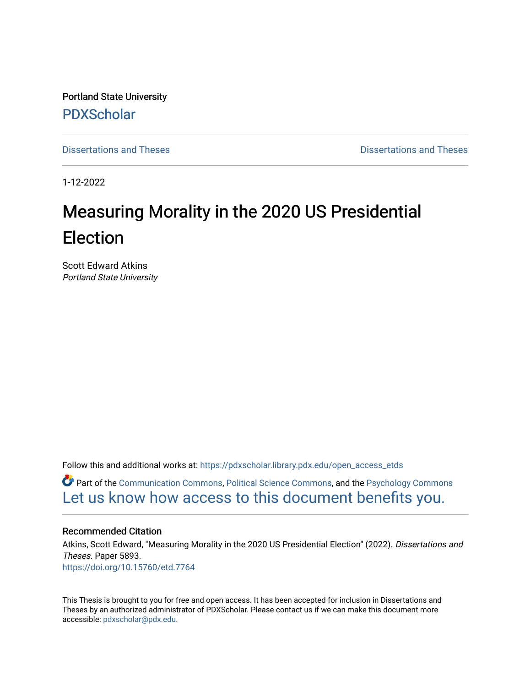Portland State University [PDXScholar](https://pdxscholar.library.pdx.edu/)

[Dissertations and Theses](https://pdxscholar.library.pdx.edu/open_access_etds) **Dissertations and Theses** Dissertations and Theses

1-12-2022

# Measuring Morality in the 2020 US Presidential Election

Scott Edward Atkins Portland State University

Follow this and additional works at: [https://pdxscholar.library.pdx.edu/open\\_access\\_etds](https://pdxscholar.library.pdx.edu/open_access_etds?utm_source=pdxscholar.library.pdx.edu%2Fopen_access_etds%2F5893&utm_medium=PDF&utm_campaign=PDFCoverPages)

Part of the [Communication Commons,](http://network.bepress.com/hgg/discipline/325?utm_source=pdxscholar.library.pdx.edu%2Fopen_access_etds%2F5893&utm_medium=PDF&utm_campaign=PDFCoverPages) [Political Science Commons,](http://network.bepress.com/hgg/discipline/386?utm_source=pdxscholar.library.pdx.edu%2Fopen_access_etds%2F5893&utm_medium=PDF&utm_campaign=PDFCoverPages) and the [Psychology Commons](http://network.bepress.com/hgg/discipline/404?utm_source=pdxscholar.library.pdx.edu%2Fopen_access_etds%2F5893&utm_medium=PDF&utm_campaign=PDFCoverPages) [Let us know how access to this document benefits you.](http://library.pdx.edu/services/pdxscholar-services/pdxscholar-feedback/) 

#### Recommended Citation

Atkins, Scott Edward, "Measuring Morality in the 2020 US Presidential Election" (2022). Dissertations and Theses. Paper 5893. <https://doi.org/10.15760/etd.7764>

This Thesis is brought to you for free and open access. It has been accepted for inclusion in Dissertations and Theses by an authorized administrator of PDXScholar. Please contact us if we can make this document more accessible: [pdxscholar@pdx.edu.](mailto:pdxscholar@pdx.edu)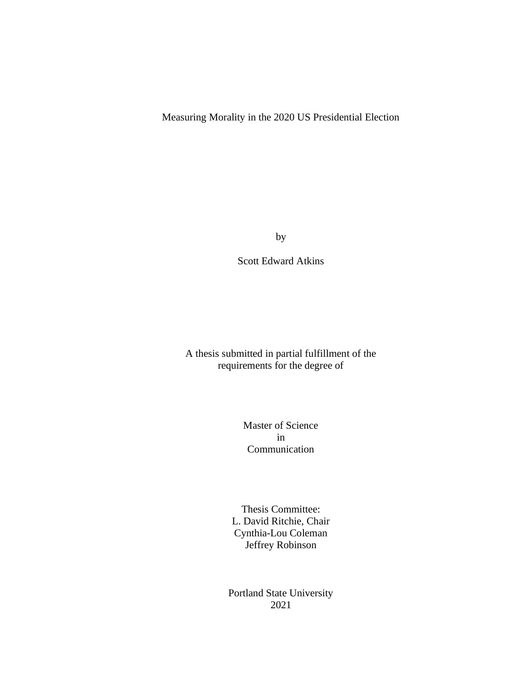# Measuring Morality in the 2020 US Presidential Election

by

Scott Edward Atkins

A thesis submitted in partial fulfillment of the requirements for the degree of

> Master of Science in Communication

Thesis Committee: L. David Ritchie, Chair Cynthia-Lou Coleman Jeffrey Robinson

Portland State University 2021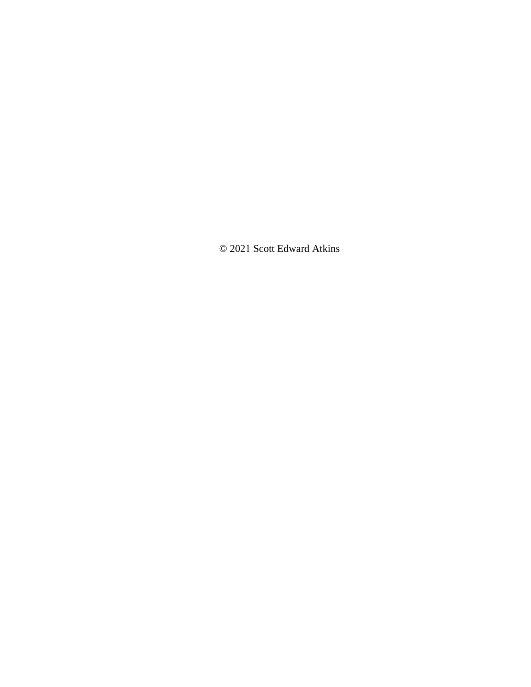© 2021 Scott Edward Atkins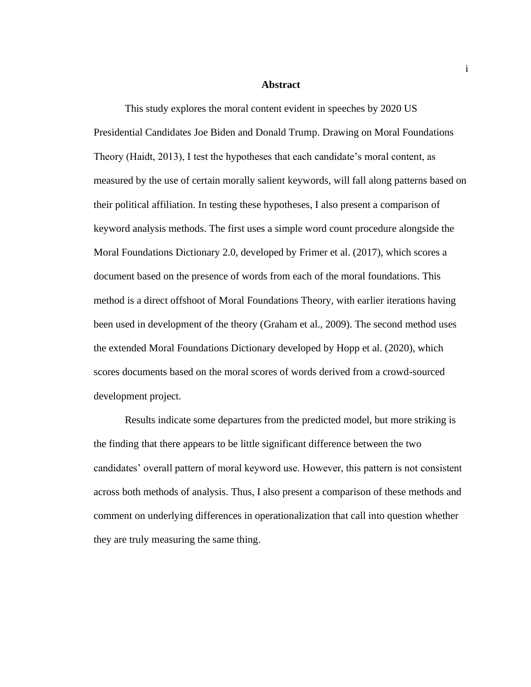#### **Abstract**

This study explores the moral content evident in speeches by 2020 US Presidential Candidates Joe Biden and Donald Trump. Drawing on Moral Foundations Theory (Haidt, 2013), I test the hypotheses that each candidate's moral content, as measured by the use of certain morally salient keywords, will fall along patterns based on their political affiliation. In testing these hypotheses, I also present a comparison of keyword analysis methods. The first uses a simple word count procedure alongside the Moral Foundations Dictionary 2.0, developed by Frimer et al. (2017), which scores a document based on the presence of words from each of the moral foundations. This method is a direct offshoot of Moral Foundations Theory, with earlier iterations having been used in development of the theory (Graham et al., 2009). The second method uses the extended Moral Foundations Dictionary developed by Hopp et al. (2020), which scores documents based on the moral scores of words derived from a crowd-sourced development project.

Results indicate some departures from the predicted model, but more striking is the finding that there appears to be little significant difference between the two candidates' overall pattern of moral keyword use. However, this pattern is not consistent across both methods of analysis. Thus, I also present a comparison of these methods and comment on underlying differences in operationalization that call into question whether they are truly measuring the same thing.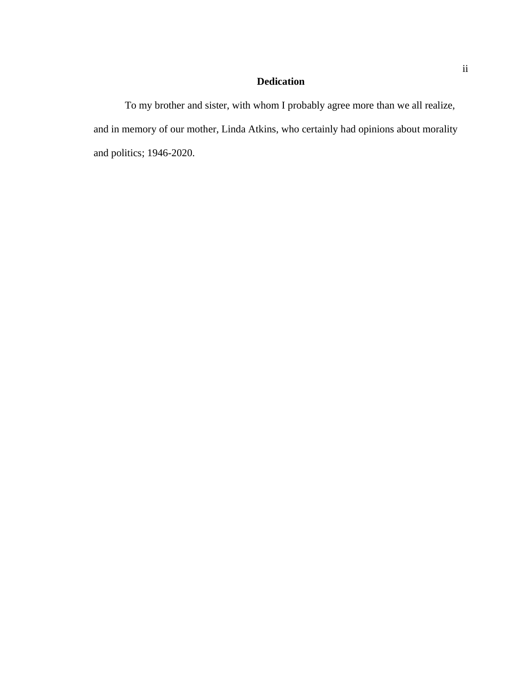# **Dedication**

To my brother and sister, with whom I probably agree more than we all realize, and in memory of our mother, Linda Atkins, who certainly had opinions about morality and politics; 1946-2020.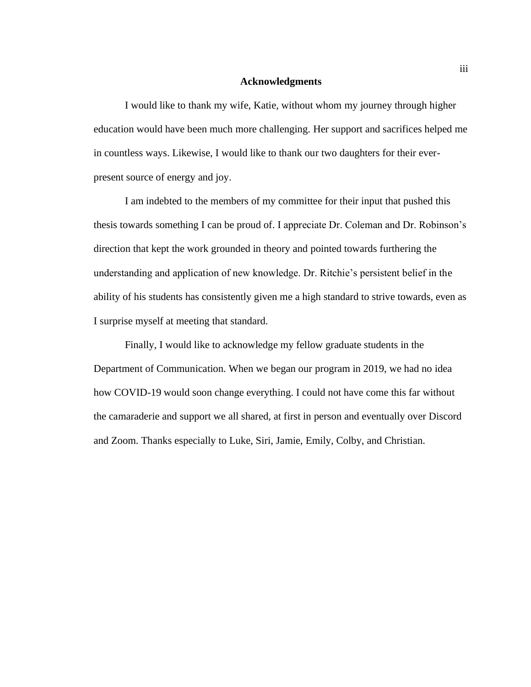#### **Acknowledgments**

I would like to thank my wife, Katie, without whom my journey through higher education would have been much more challenging. Her support and sacrifices helped me in countless ways. Likewise, I would like to thank our two daughters for their everpresent source of energy and joy.

I am indebted to the members of my committee for their input that pushed this thesis towards something I can be proud of. I appreciate Dr. Coleman and Dr. Robinson's direction that kept the work grounded in theory and pointed towards furthering the understanding and application of new knowledge. Dr. Ritchie's persistent belief in the ability of his students has consistently given me a high standard to strive towards, even as I surprise myself at meeting that standard.

Finally, I would like to acknowledge my fellow graduate students in the Department of Communication. When we began our program in 2019, we had no idea how COVID-19 would soon change everything. I could not have come this far without the camaraderie and support we all shared, at first in person and eventually over Discord and Zoom. Thanks especially to Luke, Siri, Jamie, Emily, Colby, and Christian.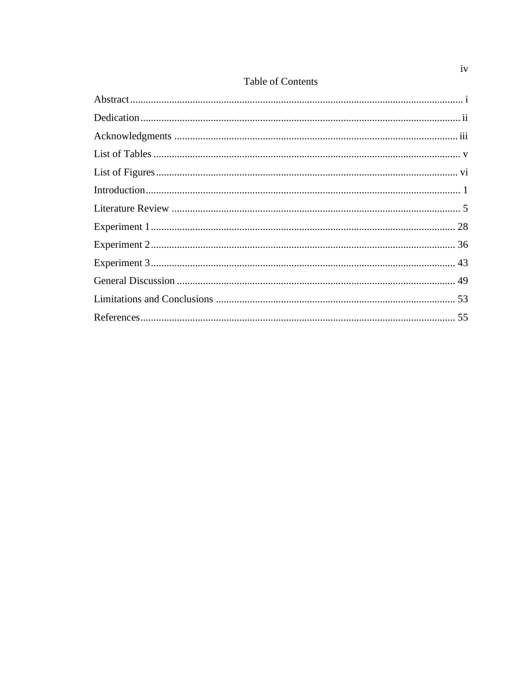|  | Table of Contents |  |
|--|-------------------|--|
|  |                   |  |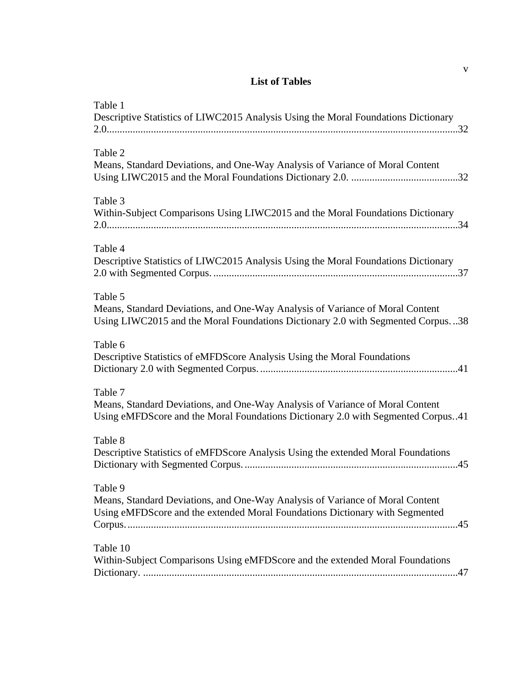# **List of Tables**

| Table 1<br>Descriptive Statistics of LIWC2015 Analysis Using the Moral Foundations Dictionary                                                                                |
|------------------------------------------------------------------------------------------------------------------------------------------------------------------------------|
| Table 2<br>Means, Standard Deviations, and One-Way Analysis of Variance of Moral Content                                                                                     |
| Table 3<br>Within-Subject Comparisons Using LIWC2015 and the Moral Foundations Dictionary                                                                                    |
| Table 4<br>Descriptive Statistics of LIWC2015 Analysis Using the Moral Foundations Dictionary                                                                                |
| Table 5<br>Means, Standard Deviations, and One-Way Analysis of Variance of Moral Content<br>Using LIWC2015 and the Moral Foundations Dictionary 2.0 with Segmented Corpus38  |
| Table 6<br>Descriptive Statistics of eMFDScore Analysis Using the Moral Foundations                                                                                          |
| Table 7<br>Means, Standard Deviations, and One-Way Analysis of Variance of Moral Content<br>Using eMFDScore and the Moral Foundations Dictionary 2.0 with Segmented Corpus41 |
| Table 8<br>Descriptive Statistics of eMFDScore Analysis Using the extended Moral Foundations                                                                                 |
| Table 9<br>Means, Standard Deviations, and One-Way Analysis of Variance of Moral Content<br>Using eMFDScore and the extended Moral Foundations Dictionary with Segmented     |
| Table 10<br>Within-Subject Comparisons Using eMFDScore and the extended Moral Foundations                                                                                    |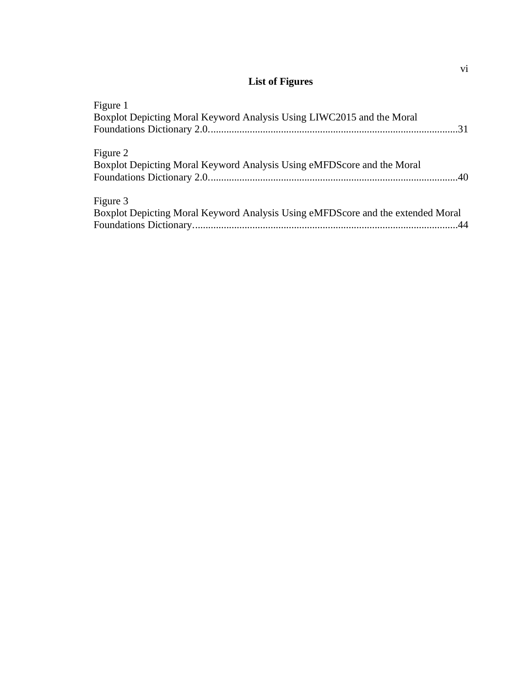# **List of Figures**

| Figure 1                                                                        |  |
|---------------------------------------------------------------------------------|--|
| Boxplot Depicting Moral Keyword Analysis Using LIWC2015 and the Moral           |  |
|                                                                                 |  |
| Figure 2                                                                        |  |
| Boxplot Depicting Moral Keyword Analysis Using eMFDScore and the Moral          |  |
|                                                                                 |  |
| Figure 3                                                                        |  |
| Boxplot Depicting Moral Keyword Analysis Using eMFDScore and the extended Moral |  |
|                                                                                 |  |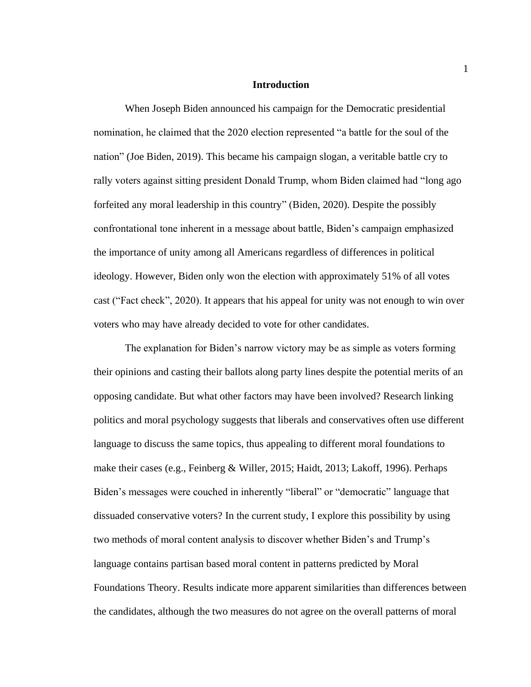#### **Introduction**

When Joseph Biden announced his campaign for the Democratic presidential nomination, he claimed that the 2020 election represented "a battle for the soul of the nation" (Joe Biden, 2019). This became his campaign slogan, a veritable battle cry to rally voters against sitting president Donald Trump, whom Biden claimed had "long ago forfeited any moral leadership in this country" (Biden, 2020). Despite the possibly confrontational tone inherent in a message about battle, Biden's campaign emphasized the importance of unity among all Americans regardless of differences in political ideology. However, Biden only won the election with approximately 51% of all votes cast ("Fact check", 2020). It appears that his appeal for unity was not enough to win over voters who may have already decided to vote for other candidates.

The explanation for Biden's narrow victory may be as simple as voters forming their opinions and casting their ballots along party lines despite the potential merits of an opposing candidate. But what other factors may have been involved? Research linking politics and moral psychology suggests that liberals and conservatives often use different language to discuss the same topics, thus appealing to different moral foundations to make their cases (e.g., Feinberg & Willer, 2015; Haidt, 2013; Lakoff, 1996). Perhaps Biden's messages were couched in inherently "liberal" or "democratic" language that dissuaded conservative voters? In the current study, I explore this possibility by using two methods of moral content analysis to discover whether Biden's and Trump's language contains partisan based moral content in patterns predicted by Moral Foundations Theory. Results indicate more apparent similarities than differences between the candidates, although the two measures do not agree on the overall patterns of moral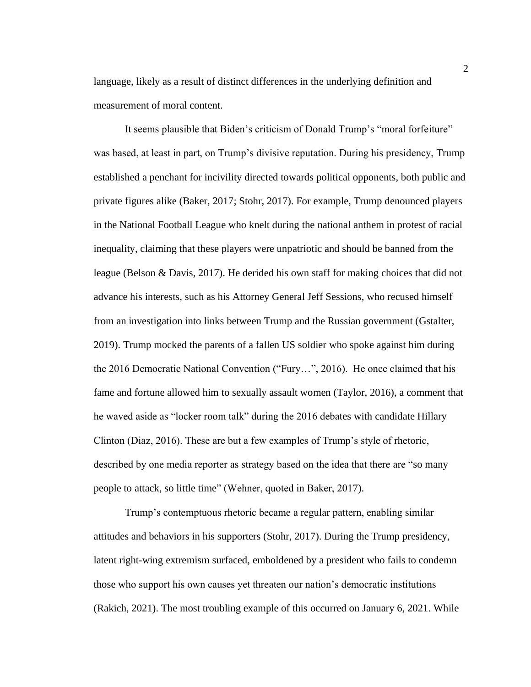language, likely as a result of distinct differences in the underlying definition and measurement of moral content.

It seems plausible that Biden's criticism of Donald Trump's "moral forfeiture" was based, at least in part, on Trump's divisive reputation. During his presidency, Trump established a penchant for incivility directed towards political opponents, both public and private figures alike (Baker, 2017; Stohr, 2017). For example, Trump denounced players in the National Football League who knelt during the national anthem in protest of racial inequality, claiming that these players were unpatriotic and should be banned from the league (Belson & Davis, 2017). He derided his own staff for making choices that did not advance his interests, such as his Attorney General Jeff Sessions, who recused himself from an investigation into links between Trump and the Russian government (Gstalter, 2019). Trump mocked the parents of a fallen US soldier who spoke against him during the 2016 Democratic National Convention ("Fury…", 2016). He once claimed that his fame and fortune allowed him to sexually assault women (Taylor, 2016), a comment that he waved aside as "locker room talk" during the 2016 debates with candidate Hillary Clinton (Diaz, 2016). These are but a few examples of Trump's style of rhetoric, described by one media reporter as strategy based on the idea that there are "so many people to attack, so little time" (Wehner, quoted in Baker, 2017).

Trump's contemptuous rhetoric became a regular pattern, enabling similar attitudes and behaviors in his supporters (Stohr, 2017). During the Trump presidency, latent right-wing extremism surfaced, emboldened by a president who fails to condemn those who support his own causes yet threaten our nation's democratic institutions (Rakich, 2021). The most troubling example of this occurred on January 6, 2021. While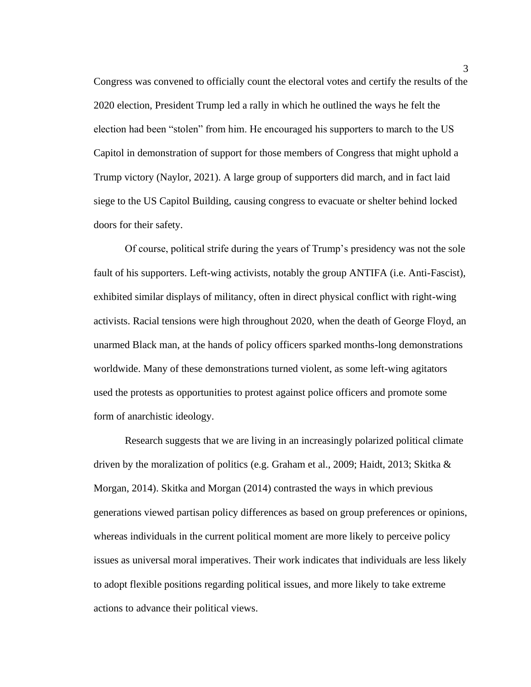Congress was convened to officially count the electoral votes and certify the results of the 2020 election, President Trump led a rally in which he outlined the ways he felt the election had been "stolen" from him. He encouraged his supporters to march to the US Capitol in demonstration of support for those members of Congress that might uphold a Trump victory (Naylor, 2021). A large group of supporters did march, and in fact laid siege to the US Capitol Building, causing congress to evacuate or shelter behind locked doors for their safety.

Of course, political strife during the years of Trump's presidency was not the sole fault of his supporters. Left-wing activists, notably the group ANTIFA (i.e. Anti-Fascist), exhibited similar displays of militancy, often in direct physical conflict with right-wing activists. Racial tensions were high throughout 2020, when the death of George Floyd, an unarmed Black man, at the hands of policy officers sparked months-long demonstrations worldwide. Many of these demonstrations turned violent, as some left-wing agitators used the protests as opportunities to protest against police officers and promote some form of anarchistic ideology.

Research suggests that we are living in an increasingly polarized political climate driven by the moralization of politics (e.g. Graham et al., 2009; Haidt, 2013; Skitka  $\&$ Morgan, 2014). Skitka and Morgan (2014) contrasted the ways in which previous generations viewed partisan policy differences as based on group preferences or opinions, whereas individuals in the current political moment are more likely to perceive policy issues as universal moral imperatives. Their work indicates that individuals are less likely to adopt flexible positions regarding political issues, and more likely to take extreme actions to advance their political views.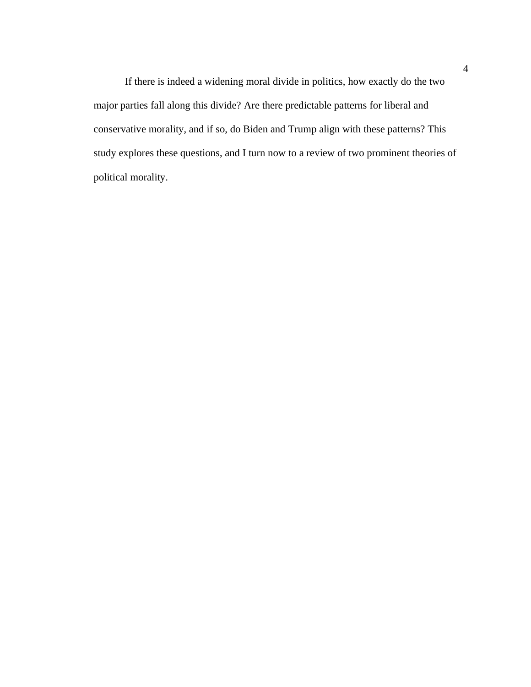If there is indeed a widening moral divide in politics, how exactly do the two major parties fall along this divide? Are there predictable patterns for liberal and conservative morality, and if so, do Biden and Trump align with these patterns? This study explores these questions, and I turn now to a review of two prominent theories of political morality.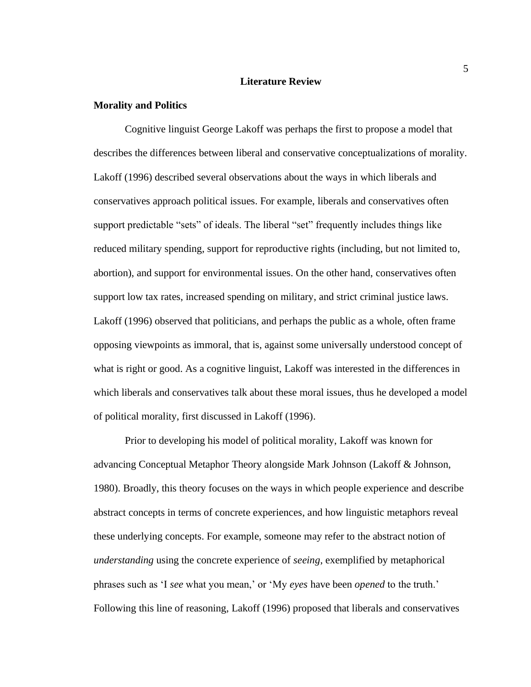#### **Literature Review**

#### **Morality and Politics**

Cognitive linguist George Lakoff was perhaps the first to propose a model that describes the differences between liberal and conservative conceptualizations of morality. Lakoff (1996) described several observations about the ways in which liberals and conservatives approach political issues. For example, liberals and conservatives often support predictable "sets" of ideals. The liberal "set" frequently includes things like reduced military spending, support for reproductive rights (including, but not limited to, abortion), and support for environmental issues. On the other hand, conservatives often support low tax rates, increased spending on military, and strict criminal justice laws. Lakoff (1996) observed that politicians, and perhaps the public as a whole, often frame opposing viewpoints as immoral, that is, against some universally understood concept of what is right or good. As a cognitive linguist, Lakoff was interested in the differences in which liberals and conservatives talk about these moral issues, thus he developed a model of political morality, first discussed in Lakoff (1996).

Prior to developing his model of political morality, Lakoff was known for advancing Conceptual Metaphor Theory alongside Mark Johnson (Lakoff & Johnson, 1980). Broadly, this theory focuses on the ways in which people experience and describe abstract concepts in terms of concrete experiences, and how linguistic metaphors reveal these underlying concepts. For example, someone may refer to the abstract notion of *understanding* using the concrete experience of *seeing*, exemplified by metaphorical phrases such as 'I *see* what you mean,' or 'My *eyes* have been *opened* to the truth.' Following this line of reasoning, Lakoff (1996) proposed that liberals and conservatives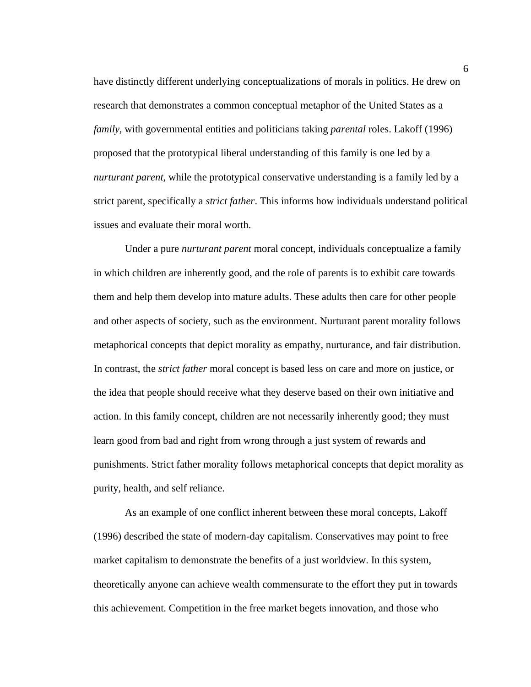have distinctly different underlying conceptualizations of morals in politics. He drew on research that demonstrates a common conceptual metaphor of the United States as a *family*, with governmental entities and politicians taking *parental* roles. Lakoff (1996) proposed that the prototypical liberal understanding of this family is one led by a *nurturant parent*, while the prototypical conservative understanding is a family led by a strict parent, specifically a *strict father*. This informs how individuals understand political issues and evaluate their moral worth.

Under a pure *nurturant parent* moral concept, individuals conceptualize a family in which children are inherently good, and the role of parents is to exhibit care towards them and help them develop into mature adults. These adults then care for other people and other aspects of society, such as the environment. Nurturant parent morality follows metaphorical concepts that depict morality as empathy, nurturance, and fair distribution. In contrast, the *strict father* moral concept is based less on care and more on justice, or the idea that people should receive what they deserve based on their own initiative and action. In this family concept, children are not necessarily inherently good; they must learn good from bad and right from wrong through a just system of rewards and punishments. Strict father morality follows metaphorical concepts that depict morality as purity, health, and self reliance.

As an example of one conflict inherent between these moral concepts, Lakoff (1996) described the state of modern-day capitalism. Conservatives may point to free market capitalism to demonstrate the benefits of a just worldview. In this system, theoretically anyone can achieve wealth commensurate to the effort they put in towards this achievement. Competition in the free market begets innovation, and those who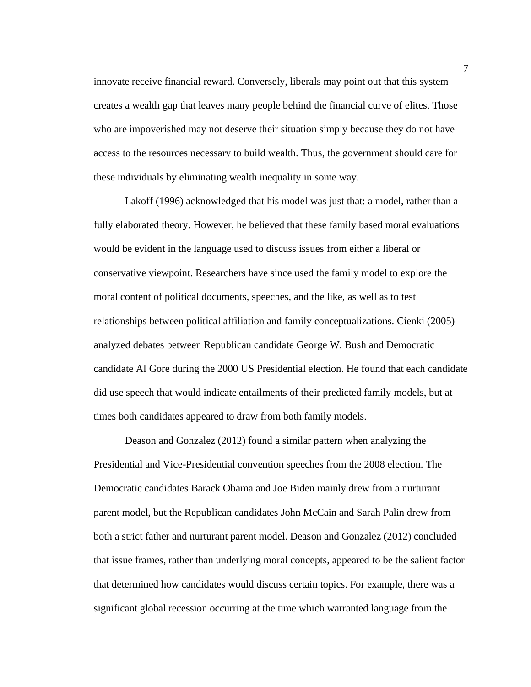innovate receive financial reward. Conversely, liberals may point out that this system creates a wealth gap that leaves many people behind the financial curve of elites. Those who are impoverished may not deserve their situation simply because they do not have access to the resources necessary to build wealth. Thus, the government should care for these individuals by eliminating wealth inequality in some way.

Lakoff (1996) acknowledged that his model was just that: a model, rather than a fully elaborated theory. However, he believed that these family based moral evaluations would be evident in the language used to discuss issues from either a liberal or conservative viewpoint. Researchers have since used the family model to explore the moral content of political documents, speeches, and the like, as well as to test relationships between political affiliation and family conceptualizations. Cienki (2005) analyzed debates between Republican candidate George W. Bush and Democratic candidate Al Gore during the 2000 US Presidential election. He found that each candidate did use speech that would indicate entailments of their predicted family models, but at times both candidates appeared to draw from both family models.

Deason and Gonzalez (2012) found a similar pattern when analyzing the Presidential and Vice-Presidential convention speeches from the 2008 election. The Democratic candidates Barack Obama and Joe Biden mainly drew from a nurturant parent model, but the Republican candidates John McCain and Sarah Palin drew from both a strict father and nurturant parent model. Deason and Gonzalez (2012) concluded that issue frames, rather than underlying moral concepts, appeared to be the salient factor that determined how candidates would discuss certain topics. For example, there was a significant global recession occurring at the time which warranted language from the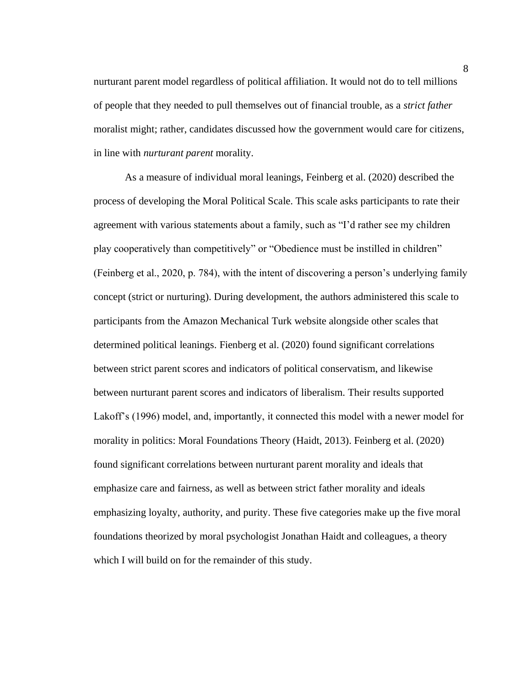nurturant parent model regardless of political affiliation. It would not do to tell millions of people that they needed to pull themselves out of financial trouble, as a *strict father* moralist might; rather, candidates discussed how the government would care for citizens, in line with *nurturant parent* morality.

As a measure of individual moral leanings, Feinberg et al. (2020) described the process of developing the Moral Political Scale. This scale asks participants to rate their agreement with various statements about a family, such as "I'd rather see my children play cooperatively than competitively" or "Obedience must be instilled in children" (Feinberg et al., 2020, p. 784), with the intent of discovering a person's underlying family concept (strict or nurturing). During development, the authors administered this scale to participants from the Amazon Mechanical Turk website alongside other scales that determined political leanings. Fienberg et al. (2020) found significant correlations between strict parent scores and indicators of political conservatism, and likewise between nurturant parent scores and indicators of liberalism. Their results supported Lakoff's (1996) model, and, importantly, it connected this model with a newer model for morality in politics: Moral Foundations Theory (Haidt, 2013). Feinberg et al. (2020) found significant correlations between nurturant parent morality and ideals that emphasize care and fairness, as well as between strict father morality and ideals emphasizing loyalty, authority, and purity. These five categories make up the five moral foundations theorized by moral psychologist Jonathan Haidt and colleagues, a theory which I will build on for the remainder of this study.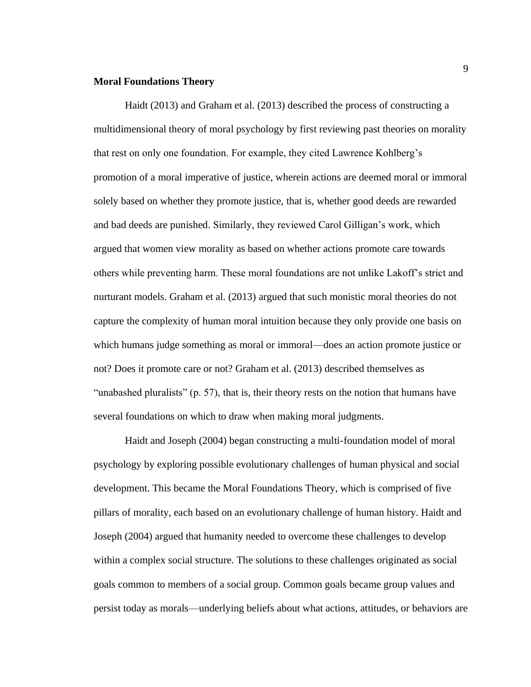#### **Moral Foundations Theory**

Haidt (2013) and Graham et al. (2013) described the process of constructing a multidimensional theory of moral psychology by first reviewing past theories on morality that rest on only one foundation. For example, they cited Lawrence Kohlberg's promotion of a moral imperative of justice, wherein actions are deemed moral or immoral solely based on whether they promote justice, that is, whether good deeds are rewarded and bad deeds are punished. Similarly, they reviewed Carol Gilligan's work, which argued that women view morality as based on whether actions promote care towards others while preventing harm. These moral foundations are not unlike Lakoff's strict and nurturant models. Graham et al. (2013) argued that such monistic moral theories do not capture the complexity of human moral intuition because they only provide one basis on which humans judge something as moral or immoral—does an action promote justice or not? Does it promote care or not? Graham et al. (2013) described themselves as "unabashed pluralists" (p. 57), that is, their theory rests on the notion that humans have several foundations on which to draw when making moral judgments.

Haidt and Joseph (2004) began constructing a multi-foundation model of moral psychology by exploring possible evolutionary challenges of human physical and social development. This became the Moral Foundations Theory, which is comprised of five pillars of morality, each based on an evolutionary challenge of human history. Haidt and Joseph (2004) argued that humanity needed to overcome these challenges to develop within a complex social structure. The solutions to these challenges originated as social goals common to members of a social group. Common goals became group values and persist today as morals—underlying beliefs about what actions, attitudes, or behaviors are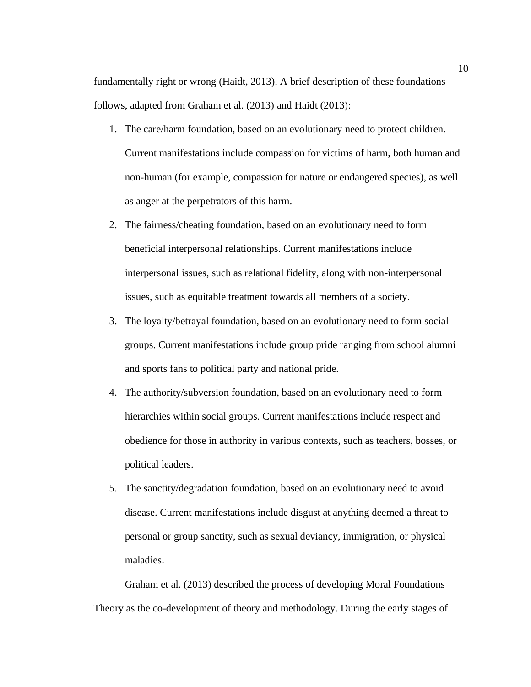fundamentally right or wrong (Haidt, 2013). A brief description of these foundations follows, adapted from Graham et al. (2013) and Haidt (2013):

- 1. The care/harm foundation, based on an evolutionary need to protect children. Current manifestations include compassion for victims of harm, both human and non-human (for example, compassion for nature or endangered species), as well as anger at the perpetrators of this harm.
- 2. The fairness/cheating foundation, based on an evolutionary need to form beneficial interpersonal relationships. Current manifestations include interpersonal issues, such as relational fidelity, along with non-interpersonal issues, such as equitable treatment towards all members of a society.
- 3. The loyalty/betrayal foundation, based on an evolutionary need to form social groups. Current manifestations include group pride ranging from school alumni and sports fans to political party and national pride.
- 4. The authority/subversion foundation, based on an evolutionary need to form hierarchies within social groups. Current manifestations include respect and obedience for those in authority in various contexts, such as teachers, bosses, or political leaders.
- 5. The sanctity/degradation foundation, based on an evolutionary need to avoid disease. Current manifestations include disgust at anything deemed a threat to personal or group sanctity, such as sexual deviancy, immigration, or physical maladies.

Graham et al. (2013) described the process of developing Moral Foundations Theory as the co-development of theory and methodology. During the early stages of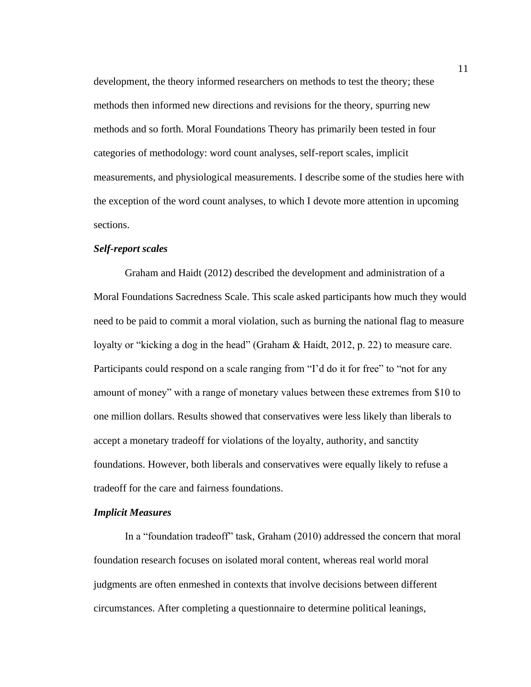development, the theory informed researchers on methods to test the theory; these methods then informed new directions and revisions for the theory, spurring new methods and so forth. Moral Foundations Theory has primarily been tested in four categories of methodology: word count analyses, self-report scales, implicit measurements, and physiological measurements. I describe some of the studies here with the exception of the word count analyses, to which I devote more attention in upcoming sections.

#### *Self-report scales*

Graham and Haidt (2012) described the development and administration of a Moral Foundations Sacredness Scale. This scale asked participants how much they would need to be paid to commit a moral violation, such as burning the national flag to measure loyalty or "kicking a dog in the head" (Graham & Haidt, 2012, p. 22) to measure care. Participants could respond on a scale ranging from "I'd do it for free" to "not for any amount of money" with a range of monetary values between these extremes from \$10 to one million dollars. Results showed that conservatives were less likely than liberals to accept a monetary tradeoff for violations of the loyalty, authority, and sanctity foundations. However, both liberals and conservatives were equally likely to refuse a tradeoff for the care and fairness foundations.

### *Implicit Measures*

In a "foundation tradeoff" task, Graham (2010) addressed the concern that moral foundation research focuses on isolated moral content, whereas real world moral judgments are often enmeshed in contexts that involve decisions between different circumstances. After completing a questionnaire to determine political leanings,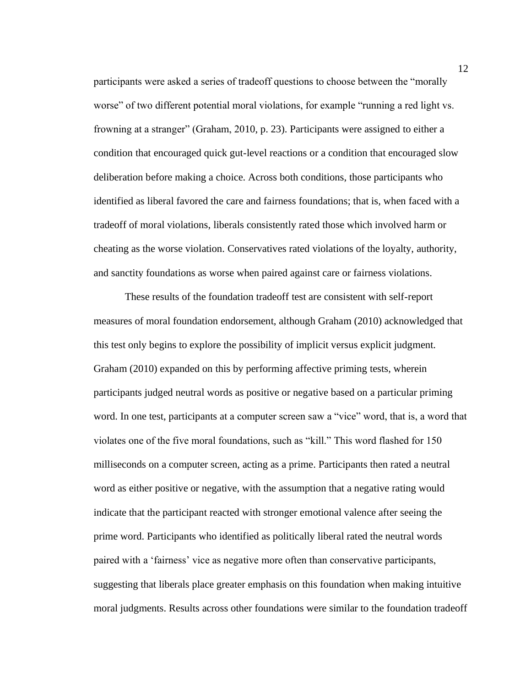participants were asked a series of tradeoff questions to choose between the "morally worse" of two different potential moral violations, for example "running a red light vs. frowning at a stranger" (Graham, 2010, p. 23). Participants were assigned to either a condition that encouraged quick gut-level reactions or a condition that encouraged slow deliberation before making a choice. Across both conditions, those participants who identified as liberal favored the care and fairness foundations; that is, when faced with a tradeoff of moral violations, liberals consistently rated those which involved harm or cheating as the worse violation. Conservatives rated violations of the loyalty, authority, and sanctity foundations as worse when paired against care or fairness violations.

These results of the foundation tradeoff test are consistent with self-report measures of moral foundation endorsement, although Graham (2010) acknowledged that this test only begins to explore the possibility of implicit versus explicit judgment. Graham (2010) expanded on this by performing affective priming tests, wherein participants judged neutral words as positive or negative based on a particular priming word. In one test, participants at a computer screen saw a "vice" word, that is, a word that violates one of the five moral foundations, such as "kill." This word flashed for 150 milliseconds on a computer screen, acting as a prime. Participants then rated a neutral word as either positive or negative, with the assumption that a negative rating would indicate that the participant reacted with stronger emotional valence after seeing the prime word. Participants who identified as politically liberal rated the neutral words paired with a 'fairness' vice as negative more often than conservative participants, suggesting that liberals place greater emphasis on this foundation when making intuitive moral judgments. Results across other foundations were similar to the foundation tradeoff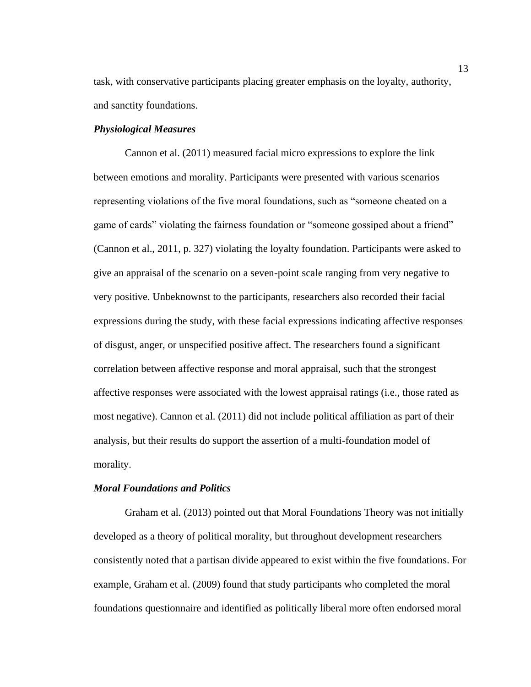task, with conservative participants placing greater emphasis on the loyalty, authority, and sanctity foundations.

#### *Physiological Measures*

Cannon et al. (2011) measured facial micro expressions to explore the link between emotions and morality. Participants were presented with various scenarios representing violations of the five moral foundations, such as "someone cheated on a game of cards" violating the fairness foundation or "someone gossiped about a friend" (Cannon et al., 2011, p. 327) violating the loyalty foundation. Participants were asked to give an appraisal of the scenario on a seven-point scale ranging from very negative to very positive. Unbeknownst to the participants, researchers also recorded their facial expressions during the study, with these facial expressions indicating affective responses of disgust, anger, or unspecified positive affect. The researchers found a significant correlation between affective response and moral appraisal, such that the strongest affective responses were associated with the lowest appraisal ratings (i.e., those rated as most negative). Cannon et al. (2011) did not include political affiliation as part of their analysis, but their results do support the assertion of a multi-foundation model of morality.

#### *Moral Foundations and Politics*

Graham et al. (2013) pointed out that Moral Foundations Theory was not initially developed as a theory of political morality, but throughout development researchers consistently noted that a partisan divide appeared to exist within the five foundations. For example, Graham et al. (2009) found that study participants who completed the moral foundations questionnaire and identified as politically liberal more often endorsed moral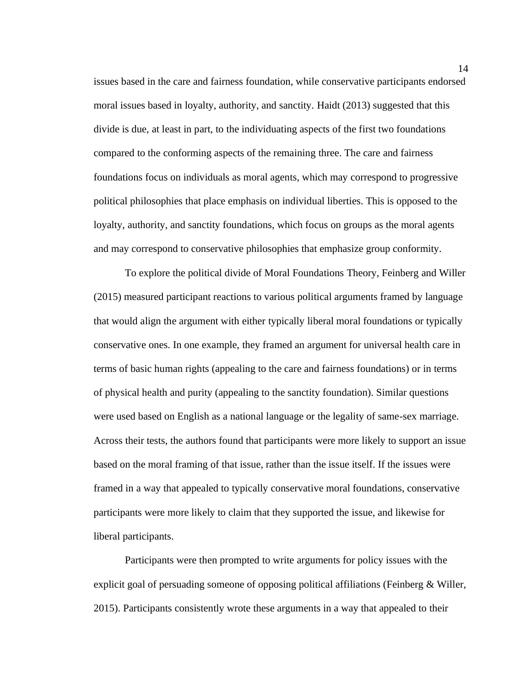issues based in the care and fairness foundation, while conservative participants endorsed moral issues based in loyalty, authority, and sanctity. Haidt (2013) suggested that this divide is due, at least in part, to the individuating aspects of the first two foundations compared to the conforming aspects of the remaining three. The care and fairness foundations focus on individuals as moral agents, which may correspond to progressive political philosophies that place emphasis on individual liberties. This is opposed to the loyalty, authority, and sanctity foundations, which focus on groups as the moral agents and may correspond to conservative philosophies that emphasize group conformity.

To explore the political divide of Moral Foundations Theory, Feinberg and Willer (2015) measured participant reactions to various political arguments framed by language that would align the argument with either typically liberal moral foundations or typically conservative ones. In one example, they framed an argument for universal health care in terms of basic human rights (appealing to the care and fairness foundations) or in terms of physical health and purity (appealing to the sanctity foundation). Similar questions were used based on English as a national language or the legality of same-sex marriage. Across their tests, the authors found that participants were more likely to support an issue based on the moral framing of that issue, rather than the issue itself. If the issues were framed in a way that appealed to typically conservative moral foundations, conservative participants were more likely to claim that they supported the issue, and likewise for liberal participants.

Participants were then prompted to write arguments for policy issues with the explicit goal of persuading someone of opposing political affiliations (Feinberg & Willer, 2015). Participants consistently wrote these arguments in a way that appealed to their

14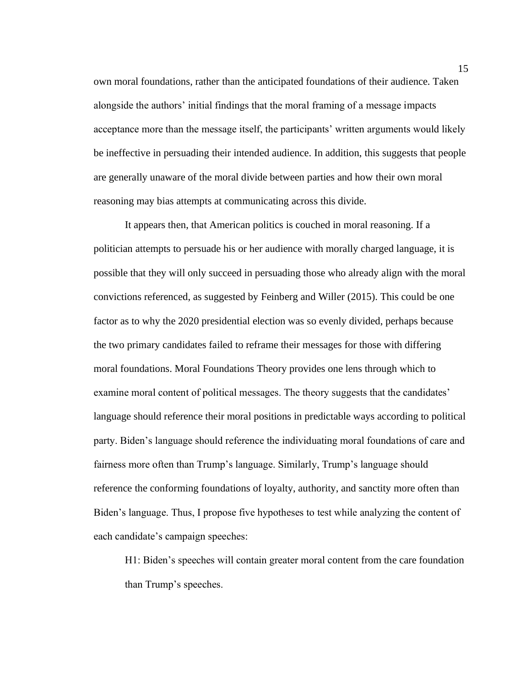own moral foundations, rather than the anticipated foundations of their audience. Taken alongside the authors' initial findings that the moral framing of a message impacts acceptance more than the message itself, the participants' written arguments would likely be ineffective in persuading their intended audience. In addition, this suggests that people are generally unaware of the moral divide between parties and how their own moral reasoning may bias attempts at communicating across this divide.

It appears then, that American politics is couched in moral reasoning. If a politician attempts to persuade his or her audience with morally charged language, it is possible that they will only succeed in persuading those who already align with the moral convictions referenced, as suggested by Feinberg and Willer (2015). This could be one factor as to why the 2020 presidential election was so evenly divided, perhaps because the two primary candidates failed to reframe their messages for those with differing moral foundations. Moral Foundations Theory provides one lens through which to examine moral content of political messages. The theory suggests that the candidates' language should reference their moral positions in predictable ways according to political party. Biden's language should reference the individuating moral foundations of care and fairness more often than Trump's language. Similarly, Trump's language should reference the conforming foundations of loyalty, authority, and sanctity more often than Biden's language. Thus, I propose five hypotheses to test while analyzing the content of each candidate's campaign speeches:

H1: Biden's speeches will contain greater moral content from the care foundation than Trump's speeches.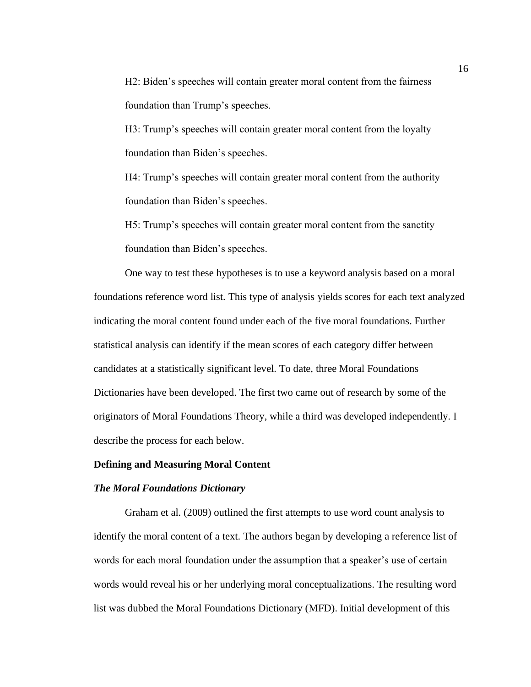H2: Biden's speeches will contain greater moral content from the fairness foundation than Trump's speeches.

H3: Trump's speeches will contain greater moral content from the loyalty foundation than Biden's speeches.

H4: Trump's speeches will contain greater moral content from the authority foundation than Biden's speeches.

H5: Trump's speeches will contain greater moral content from the sanctity foundation than Biden's speeches.

One way to test these hypotheses is to use a keyword analysis based on a moral foundations reference word list. This type of analysis yields scores for each text analyzed indicating the moral content found under each of the five moral foundations. Further statistical analysis can identify if the mean scores of each category differ between candidates at a statistically significant level. To date, three Moral Foundations Dictionaries have been developed. The first two came out of research by some of the originators of Moral Foundations Theory, while a third was developed independently. I describe the process for each below.

#### **Defining and Measuring Moral Content**

#### *The Moral Foundations Dictionary*

Graham et al. (2009) outlined the first attempts to use word count analysis to identify the moral content of a text. The authors began by developing a reference list of words for each moral foundation under the assumption that a speaker's use of certain words would reveal his or her underlying moral conceptualizations. The resulting word list was dubbed the Moral Foundations Dictionary (MFD). Initial development of this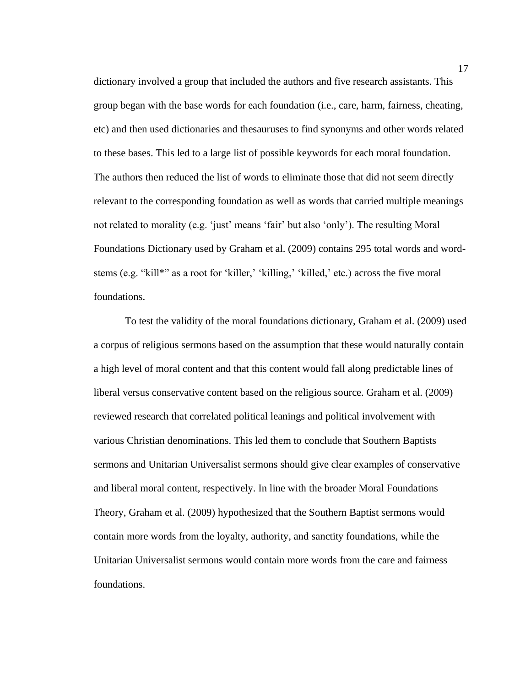dictionary involved a group that included the authors and five research assistants. This group began with the base words for each foundation (i.e., care, harm, fairness, cheating, etc) and then used dictionaries and thesauruses to find synonyms and other words related to these bases. This led to a large list of possible keywords for each moral foundation. The authors then reduced the list of words to eliminate those that did not seem directly relevant to the corresponding foundation as well as words that carried multiple meanings not related to morality (e.g. 'just' means 'fair' but also 'only'). The resulting Moral Foundations Dictionary used by Graham et al. (2009) contains 295 total words and wordstems (e.g. "kill\*" as a root for 'killer,' 'killing,' 'killed,' etc.) across the five moral foundations.

To test the validity of the moral foundations dictionary, Graham et al. (2009) used a corpus of religious sermons based on the assumption that these would naturally contain a high level of moral content and that this content would fall along predictable lines of liberal versus conservative content based on the religious source. Graham et al. (2009) reviewed research that correlated political leanings and political involvement with various Christian denominations. This led them to conclude that Southern Baptists sermons and Unitarian Universalist sermons should give clear examples of conservative and liberal moral content, respectively. In line with the broader Moral Foundations Theory, Graham et al. (2009) hypothesized that the Southern Baptist sermons would contain more words from the loyalty, authority, and sanctity foundations, while the Unitarian Universalist sermons would contain more words from the care and fairness foundations.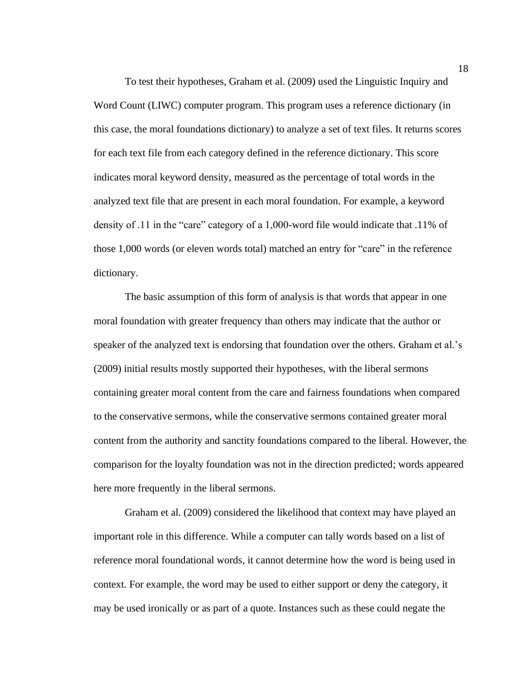To test their hypotheses, Graham et al. (2009) used the Linguistic Inquiry and Word Count (LIWC) computer program. This program uses a reference dictionary (in this case, the moral foundations dictionary) to analyze a set of text files. It returns scores for each text file from each category defined in the reference dictionary. This score indicates moral keyword density, measured as the percentage of total words in the analyzed text file that are present in each moral foundation. For example, a keyword density of .11 in the "care" category of a 1,000-word file would indicate that .11% of those 1,000 words (or eleven words total) matched an entry for "care" in the reference dictionary.

The basic assumption of this form of analysis is that words that appear in one moral foundation with greater frequency than others may indicate that the author or speaker of the analyzed text is endorsing that foundation over the others. Graham et al.'s (2009) initial results mostly supported their hypotheses, with the liberal sermons containing greater moral content from the care and fairness foundations when compared to the conservative sermons, while the conservative sermons contained greater moral content from the authority and sanctity foundations compared to the liberal. However, the comparison for the loyalty foundation was not in the direction predicted; words appeared here more frequently in the liberal sermons.

Graham et al. (2009) considered the likelihood that context may have played an important role in this difference. While a computer can tally words based on a list of reference moral foundational words, it cannot determine how the word is being used in context. For example, the word may be used to either support or deny the category, it may be used ironically or as part of a quote. Instances such as these could negate the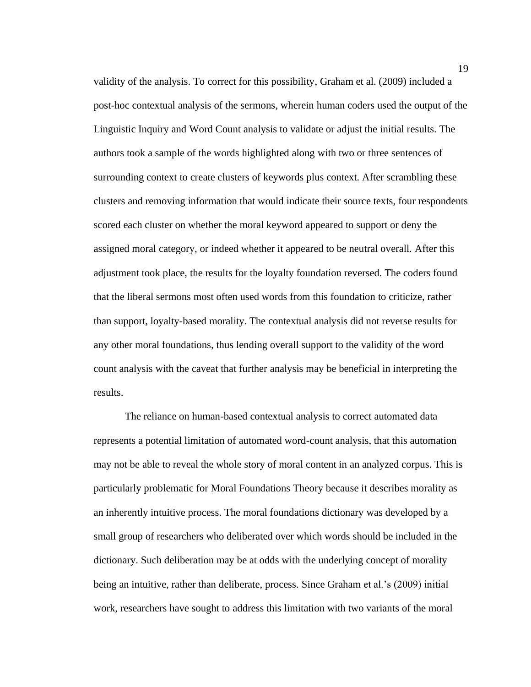validity of the analysis. To correct for this possibility, Graham et al. (2009) included a post-hoc contextual analysis of the sermons, wherein human coders used the output of the Linguistic Inquiry and Word Count analysis to validate or adjust the initial results. The authors took a sample of the words highlighted along with two or three sentences of surrounding context to create clusters of keywords plus context. After scrambling these clusters and removing information that would indicate their source texts, four respondents scored each cluster on whether the moral keyword appeared to support or deny the assigned moral category, or indeed whether it appeared to be neutral overall. After this adjustment took place, the results for the loyalty foundation reversed. The coders found that the liberal sermons most often used words from this foundation to criticize, rather than support, loyalty-based morality. The contextual analysis did not reverse results for any other moral foundations, thus lending overall support to the validity of the word count analysis with the caveat that further analysis may be beneficial in interpreting the results.

The reliance on human-based contextual analysis to correct automated data represents a potential limitation of automated word-count analysis, that this automation may not be able to reveal the whole story of moral content in an analyzed corpus. This is particularly problematic for Moral Foundations Theory because it describes morality as an inherently intuitive process. The moral foundations dictionary was developed by a small group of researchers who deliberated over which words should be included in the dictionary. Such deliberation may be at odds with the underlying concept of morality being an intuitive, rather than deliberate, process. Since Graham et al.'s (2009) initial work, researchers have sought to address this limitation with two variants of the moral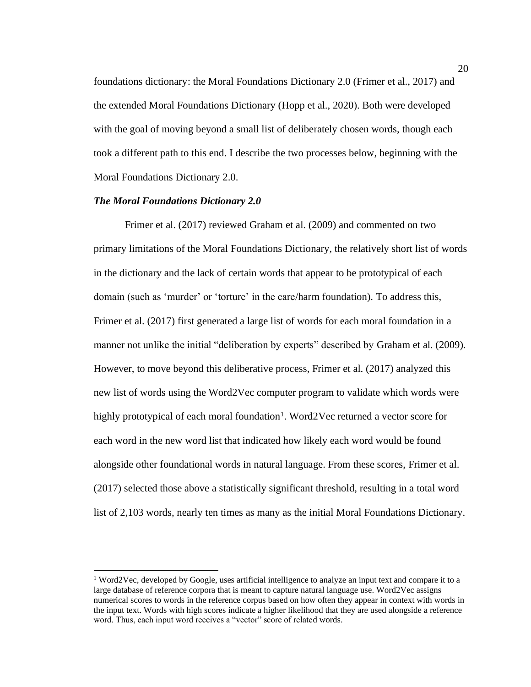foundations dictionary: the Moral Foundations Dictionary 2.0 (Frimer et al., 2017) and the extended Moral Foundations Dictionary (Hopp et al., 2020). Both were developed with the goal of moving beyond a small list of deliberately chosen words, though each took a different path to this end. I describe the two processes below, beginning with the Moral Foundations Dictionary 2.0.

#### *The Moral Foundations Dictionary 2.0*

Frimer et al. (2017) reviewed Graham et al. (2009) and commented on two primary limitations of the Moral Foundations Dictionary, the relatively short list of words in the dictionary and the lack of certain words that appear to be prototypical of each domain (such as 'murder' or 'torture' in the care/harm foundation). To address this, Frimer et al. (2017) first generated a large list of words for each moral foundation in a manner not unlike the initial "deliberation by experts" described by Graham et al. (2009). However, to move beyond this deliberative process, Frimer et al. (2017) analyzed this new list of words using the Word2Vec computer program to validate which words were highly prototypical of each moral foundation<sup>1</sup>. Word2Vec returned a vector score for each word in the new word list that indicated how likely each word would be found alongside other foundational words in natural language. From these scores, Frimer et al. (2017) selected those above a statistically significant threshold, resulting in a total word list of 2,103 words, nearly ten times as many as the initial Moral Foundations Dictionary.

 $1$  Word2Vec, developed by Google, uses artificial intelligence to analyze an input text and compare it to a large database of reference corpora that is meant to capture natural language use. Word2Vec assigns numerical scores to words in the reference corpus based on how often they appear in context with words in the input text. Words with high scores indicate a higher likelihood that they are used alongside a reference word. Thus, each input word receives a "vector" score of related words.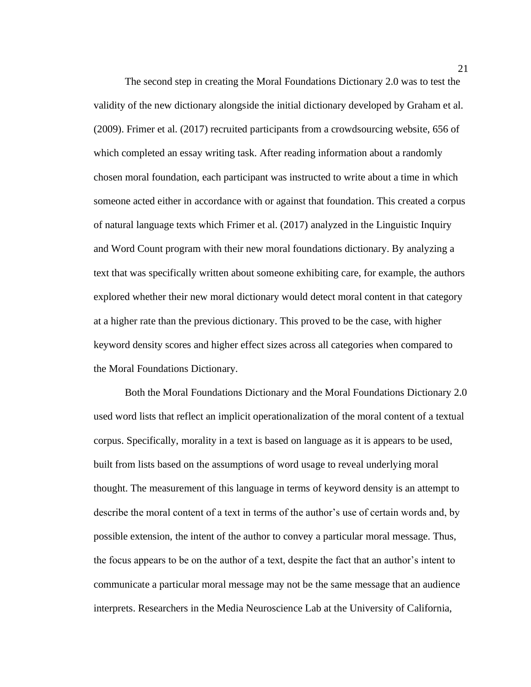The second step in creating the Moral Foundations Dictionary 2.0 was to test the validity of the new dictionary alongside the initial dictionary developed by Graham et al. (2009). Frimer et al. (2017) recruited participants from a crowdsourcing website, 656 of which completed an essay writing task. After reading information about a randomly chosen moral foundation, each participant was instructed to write about a time in which someone acted either in accordance with or against that foundation. This created a corpus of natural language texts which Frimer et al. (2017) analyzed in the Linguistic Inquiry and Word Count program with their new moral foundations dictionary. By analyzing a text that was specifically written about someone exhibiting care, for example, the authors explored whether their new moral dictionary would detect moral content in that category at a higher rate than the previous dictionary. This proved to be the case, with higher keyword density scores and higher effect sizes across all categories when compared to the Moral Foundations Dictionary.

Both the Moral Foundations Dictionary and the Moral Foundations Dictionary 2.0 used word lists that reflect an implicit operationalization of the moral content of a textual corpus. Specifically, morality in a text is based on language as it is appears to be used, built from lists based on the assumptions of word usage to reveal underlying moral thought. The measurement of this language in terms of keyword density is an attempt to describe the moral content of a text in terms of the author's use of certain words and, by possible extension, the intent of the author to convey a particular moral message. Thus, the focus appears to be on the author of a text, despite the fact that an author's intent to communicate a particular moral message may not be the same message that an audience interprets. Researchers in the Media Neuroscience Lab at the University of California,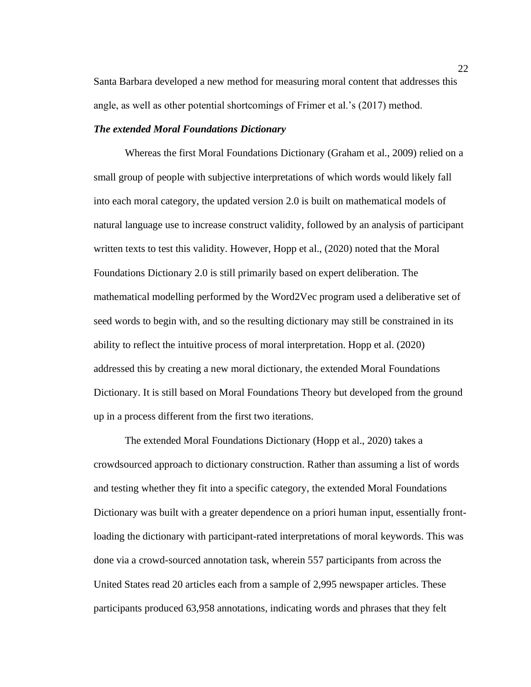Santa Barbara developed a new method for measuring moral content that addresses this angle, as well as other potential shortcomings of Frimer et al.'s (2017) method.

# *The extended Moral Foundations Dictionary*

Whereas the first Moral Foundations Dictionary (Graham et al., 2009) relied on a small group of people with subjective interpretations of which words would likely fall into each moral category, the updated version 2.0 is built on mathematical models of natural language use to increase construct validity, followed by an analysis of participant written texts to test this validity. However, Hopp et al., (2020) noted that the Moral Foundations Dictionary 2.0 is still primarily based on expert deliberation. The mathematical modelling performed by the Word2Vec program used a deliberative set of seed words to begin with, and so the resulting dictionary may still be constrained in its ability to reflect the intuitive process of moral interpretation. Hopp et al. (2020) addressed this by creating a new moral dictionary, the extended Moral Foundations Dictionary. It is still based on Moral Foundations Theory but developed from the ground up in a process different from the first two iterations.

The extended Moral Foundations Dictionary (Hopp et al., 2020) takes a crowdsourced approach to dictionary construction. Rather than assuming a list of words and testing whether they fit into a specific category, the extended Moral Foundations Dictionary was built with a greater dependence on a priori human input, essentially frontloading the dictionary with participant-rated interpretations of moral keywords. This was done via a crowd-sourced annotation task, wherein 557 participants from across the United States read 20 articles each from a sample of 2,995 newspaper articles. These participants produced 63,958 annotations, indicating words and phrases that they felt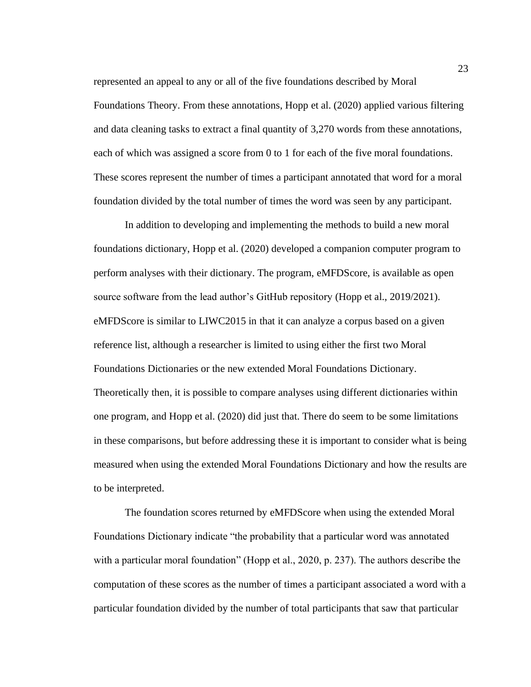represented an appeal to any or all of the five foundations described by Moral Foundations Theory. From these annotations, Hopp et al. (2020) applied various filtering and data cleaning tasks to extract a final quantity of 3,270 words from these annotations, each of which was assigned a score from 0 to 1 for each of the five moral foundations. These scores represent the number of times a participant annotated that word for a moral foundation divided by the total number of times the word was seen by any participant.

In addition to developing and implementing the methods to build a new moral foundations dictionary, Hopp et al. (2020) developed a companion computer program to perform analyses with their dictionary. The program, eMFDScore, is available as open source software from the lead author's GitHub repository (Hopp et al., 2019/2021). eMFDScore is similar to LIWC2015 in that it can analyze a corpus based on a given reference list, although a researcher is limited to using either the first two Moral Foundations Dictionaries or the new extended Moral Foundations Dictionary. Theoretically then, it is possible to compare analyses using different dictionaries within one program, and Hopp et al. (2020) did just that. There do seem to be some limitations in these comparisons, but before addressing these it is important to consider what is being measured when using the extended Moral Foundations Dictionary and how the results are to be interpreted.

The foundation scores returned by eMFDScore when using the extended Moral Foundations Dictionary indicate "the probability that a particular word was annotated with a particular moral foundation" (Hopp et al., 2020, p. 237). The authors describe the computation of these scores as the number of times a participant associated a word with a particular foundation divided by the number of total participants that saw that particular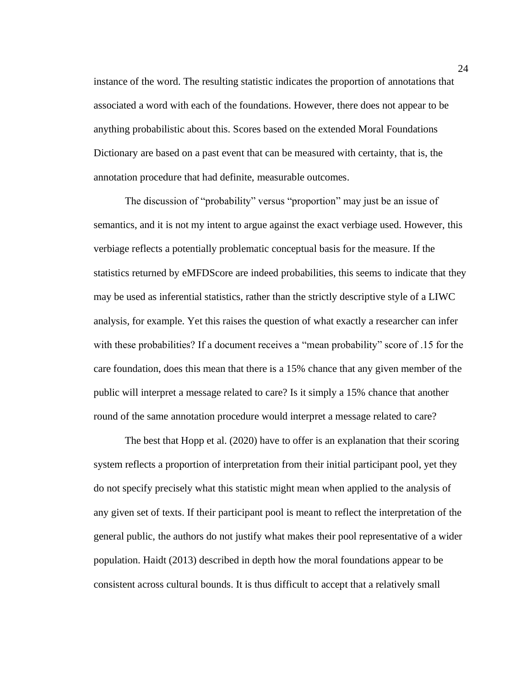instance of the word. The resulting statistic indicates the proportion of annotations that associated a word with each of the foundations. However, there does not appear to be anything probabilistic about this. Scores based on the extended Moral Foundations Dictionary are based on a past event that can be measured with certainty, that is, the annotation procedure that had definite, measurable outcomes.

The discussion of "probability" versus "proportion" may just be an issue of semantics, and it is not my intent to argue against the exact verbiage used. However, this verbiage reflects a potentially problematic conceptual basis for the measure. If the statistics returned by eMFDScore are indeed probabilities, this seems to indicate that they may be used as inferential statistics, rather than the strictly descriptive style of a LIWC analysis, for example. Yet this raises the question of what exactly a researcher can infer with these probabilities? If a document receives a "mean probability" score of .15 for the care foundation, does this mean that there is a 15% chance that any given member of the public will interpret a message related to care? Is it simply a 15% chance that another round of the same annotation procedure would interpret a message related to care?

The best that Hopp et al. (2020) have to offer is an explanation that their scoring system reflects a proportion of interpretation from their initial participant pool, yet they do not specify precisely what this statistic might mean when applied to the analysis of any given set of texts. If their participant pool is meant to reflect the interpretation of the general public, the authors do not justify what makes their pool representative of a wider population. Haidt (2013) described in depth how the moral foundations appear to be consistent across cultural bounds. It is thus difficult to accept that a relatively small

24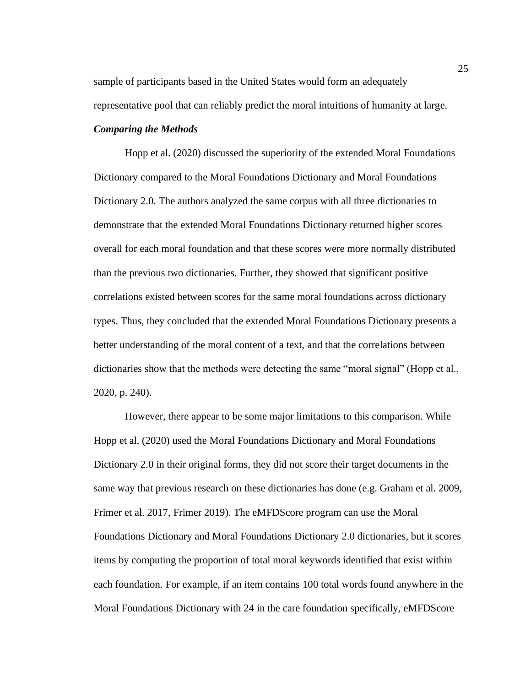sample of participants based in the United States would form an adequately representative pool that can reliably predict the moral intuitions of humanity at large.

### *Comparing the Methods*

Hopp et al. (2020) discussed the superiority of the extended Moral Foundations Dictionary compared to the Moral Foundations Dictionary and Moral Foundations Dictionary 2.0. The authors analyzed the same corpus with all three dictionaries to demonstrate that the extended Moral Foundations Dictionary returned higher scores overall for each moral foundation and that these scores were more normally distributed than the previous two dictionaries. Further, they showed that significant positive correlations existed between scores for the same moral foundations across dictionary types. Thus, they concluded that the extended Moral Foundations Dictionary presents a better understanding of the moral content of a text, and that the correlations between dictionaries show that the methods were detecting the same "moral signal" (Hopp et al., 2020, p. 240).

However, there appear to be some major limitations to this comparison. While Hopp et al. (2020) used the Moral Foundations Dictionary and Moral Foundations Dictionary 2.0 in their original forms, they did not score their target documents in the same way that previous research on these dictionaries has done (e.g. Graham et al. 2009, Frimer et al. 2017, Frimer 2019). The eMFDScore program can use the Moral Foundations Dictionary and Moral Foundations Dictionary 2.0 dictionaries, but it scores items by computing the proportion of total moral keywords identified that exist within each foundation. For example, if an item contains 100 total words found anywhere in the Moral Foundations Dictionary with 24 in the care foundation specifically, eMFDScore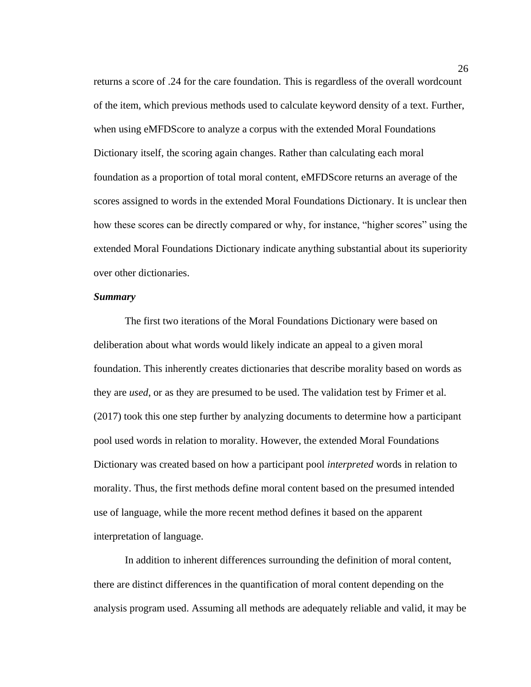returns a score of .24 for the care foundation. This is regardless of the overall wordcount of the item, which previous methods used to calculate keyword density of a text. Further, when using eMFDScore to analyze a corpus with the extended Moral Foundations Dictionary itself, the scoring again changes. Rather than calculating each moral foundation as a proportion of total moral content, eMFDScore returns an average of the scores assigned to words in the extended Moral Foundations Dictionary. It is unclear then how these scores can be directly compared or why, for instance, "higher scores" using the extended Moral Foundations Dictionary indicate anything substantial about its superiority over other dictionaries.

#### *Summary*

The first two iterations of the Moral Foundations Dictionary were based on deliberation about what words would likely indicate an appeal to a given moral foundation. This inherently creates dictionaries that describe morality based on words as they are *used*, or as they are presumed to be used. The validation test by Frimer et al. (2017) took this one step further by analyzing documents to determine how a participant pool used words in relation to morality. However, the extended Moral Foundations Dictionary was created based on how a participant pool *interpreted* words in relation to morality. Thus, the first methods define moral content based on the presumed intended use of language, while the more recent method defines it based on the apparent interpretation of language.

In addition to inherent differences surrounding the definition of moral content, there are distinct differences in the quantification of moral content depending on the analysis program used. Assuming all methods are adequately reliable and valid, it may be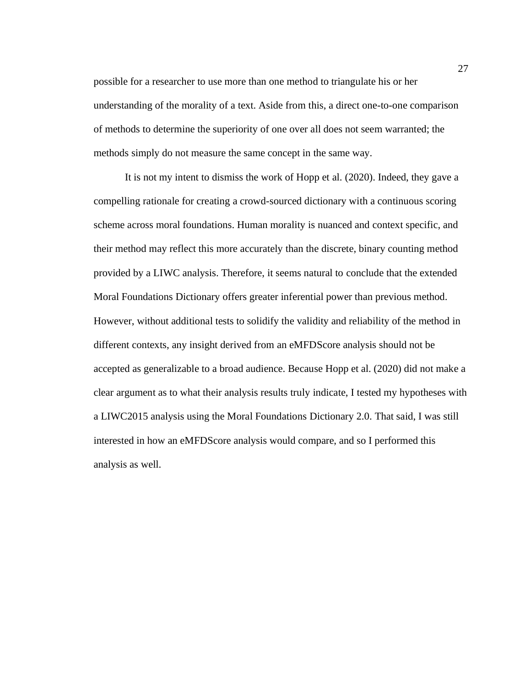possible for a researcher to use more than one method to triangulate his or her understanding of the morality of a text. Aside from this, a direct one-to-one comparison of methods to determine the superiority of one over all does not seem warranted; the methods simply do not measure the same concept in the same way.

It is not my intent to dismiss the work of Hopp et al. (2020). Indeed, they gave a compelling rationale for creating a crowd-sourced dictionary with a continuous scoring scheme across moral foundations. Human morality is nuanced and context specific, and their method may reflect this more accurately than the discrete, binary counting method provided by a LIWC analysis. Therefore, it seems natural to conclude that the extended Moral Foundations Dictionary offers greater inferential power than previous method. However, without additional tests to solidify the validity and reliability of the method in different contexts, any insight derived from an eMFDScore analysis should not be accepted as generalizable to a broad audience. Because Hopp et al. (2020) did not make a clear argument as to what their analysis results truly indicate, I tested my hypotheses with a LIWC2015 analysis using the Moral Foundations Dictionary 2.0. That said, I was still interested in how an eMFDScore analysis would compare, and so I performed this analysis as well.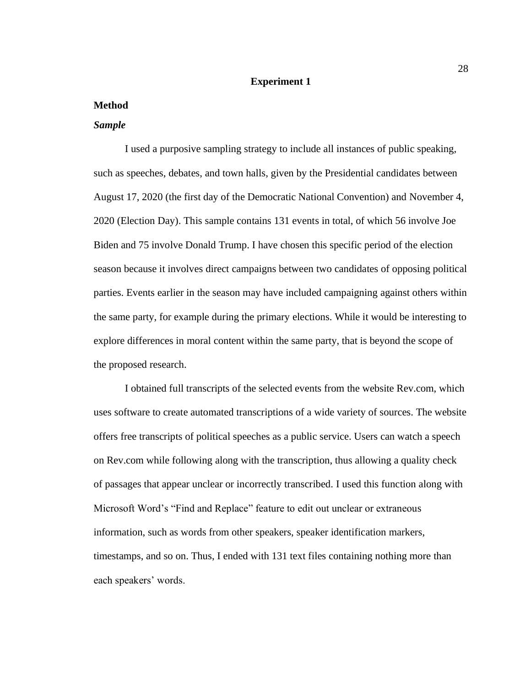# **Experiment 1**

### **Method**

#### *Sample*

I used a purposive sampling strategy to include all instances of public speaking, such as speeches, debates, and town halls, given by the Presidential candidates between August 17, 2020 (the first day of the Democratic National Convention) and November 4, 2020 (Election Day). This sample contains 131 events in total, of which 56 involve Joe Biden and 75 involve Donald Trump. I have chosen this specific period of the election season because it involves direct campaigns between two candidates of opposing political parties. Events earlier in the season may have included campaigning against others within the same party, for example during the primary elections. While it would be interesting to explore differences in moral content within the same party, that is beyond the scope of the proposed research.

I obtained full transcripts of the selected events from the website Rev.com, which uses software to create automated transcriptions of a wide variety of sources. The website offers free transcripts of political speeches as a public service. Users can watch a speech on Rev.com while following along with the transcription, thus allowing a quality check of passages that appear unclear or incorrectly transcribed. I used this function along with Microsoft Word's "Find and Replace" feature to edit out unclear or extraneous information, such as words from other speakers, speaker identification markers, timestamps, and so on. Thus, I ended with 131 text files containing nothing more than each speakers' words.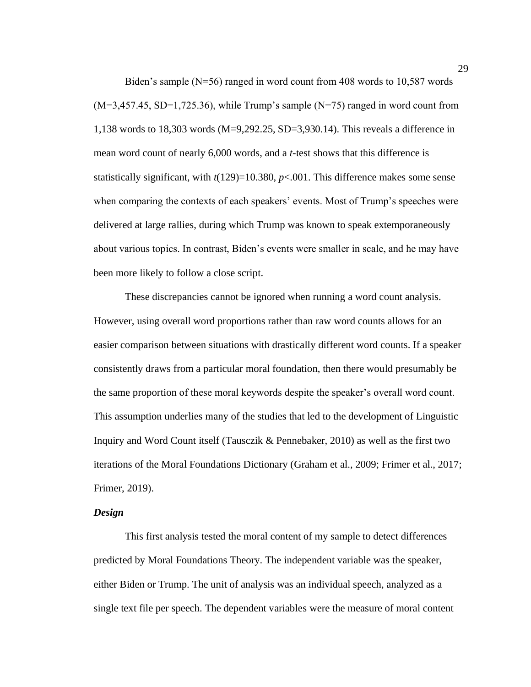Biden's sample (N=56) ranged in word count from 408 words to 10,587 words  $(M=3,457.45, SD=1,725.36)$ , while Trump's sample  $(N=75)$  ranged in word count from 1,138 words to 18,303 words (M=9,292.25, SD=3,930.14). This reveals a difference in mean word count of nearly 6,000 words, and a *t*-test shows that this difference is statistically significant, with  $t(129)=10.380$ ,  $p<.001$ . This difference makes some sense when comparing the contexts of each speakers' events. Most of Trump's speeches were delivered at large rallies, during which Trump was known to speak extemporaneously about various topics. In contrast, Biden's events were smaller in scale, and he may have been more likely to follow a close script.

These discrepancies cannot be ignored when running a word count analysis. However, using overall word proportions rather than raw word counts allows for an easier comparison between situations with drastically different word counts. If a speaker consistently draws from a particular moral foundation, then there would presumably be the same proportion of these moral keywords despite the speaker's overall word count. This assumption underlies many of the studies that led to the development of Linguistic Inquiry and Word Count itself (Tausczik & Pennebaker, 2010) as well as the first two iterations of the Moral Foundations Dictionary (Graham et al., 2009; Frimer et al., 2017; Frimer, 2019).

#### *Design*

This first analysis tested the moral content of my sample to detect differences predicted by Moral Foundations Theory. The independent variable was the speaker, either Biden or Trump. The unit of analysis was an individual speech, analyzed as a single text file per speech. The dependent variables were the measure of moral content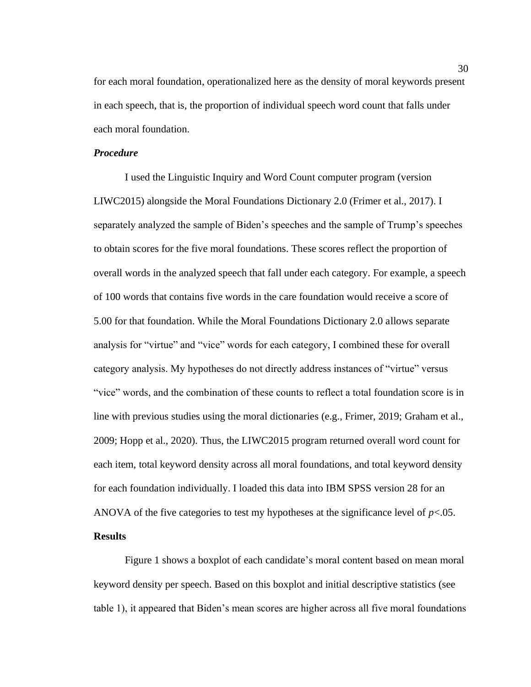for each moral foundation, operationalized here as the density of moral keywords present in each speech, that is, the proportion of individual speech word count that falls under each moral foundation.

#### *Procedure*

I used the Linguistic Inquiry and Word Count computer program (version LIWC2015) alongside the Moral Foundations Dictionary 2.0 (Frimer et al., 2017). I separately analyzed the sample of Biden's speeches and the sample of Trump's speeches to obtain scores for the five moral foundations. These scores reflect the proportion of overall words in the analyzed speech that fall under each category. For example, a speech of 100 words that contains five words in the care foundation would receive a score of 5.00 for that foundation. While the Moral Foundations Dictionary 2.0 allows separate analysis for "virtue" and "vice" words for each category, I combined these for overall category analysis. My hypotheses do not directly address instances of "virtue" versus "vice" words, and the combination of these counts to reflect a total foundation score is in line with previous studies using the moral dictionaries (e.g., Frimer, 2019; Graham et al., 2009; Hopp et al., 2020). Thus, the LIWC2015 program returned overall word count for each item, total keyword density across all moral foundations, and total keyword density for each foundation individually. I loaded this data into IBM SPSS version 28 for an ANOVA of the five categories to test my hypotheses at the significance level of  $p < 0.05$ . **Results**

Figure 1 shows a boxplot of each candidate's moral content based on mean moral keyword density per speech. Based on this boxplot and initial descriptive statistics (see table 1), it appeared that Biden's mean scores are higher across all five moral foundations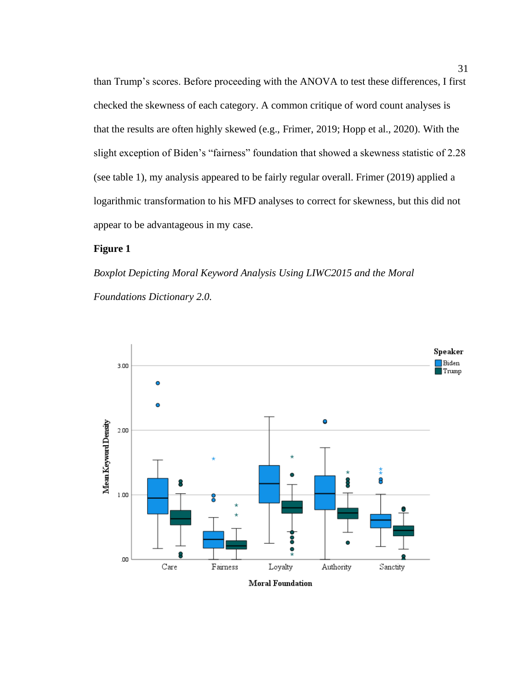than Trump's scores. Before proceeding with the ANOVA to test these differences, I first checked the skewness of each category. A common critique of word count analyses is that the results are often highly skewed (e.g., Frimer, 2019; Hopp et al., 2020). With the slight exception of Biden's "fairness" foundation that showed a skewness statistic of 2.28 (see table 1), my analysis appeared to be fairly regular overall. Frimer (2019) applied a logarithmic transformation to his MFD analyses to correct for skewness, but this did not appear to be advantageous in my case.

# **Figure 1**

*Boxplot Depicting Moral Keyword Analysis Using LIWC2015 and the Moral Foundations Dictionary 2.0.*

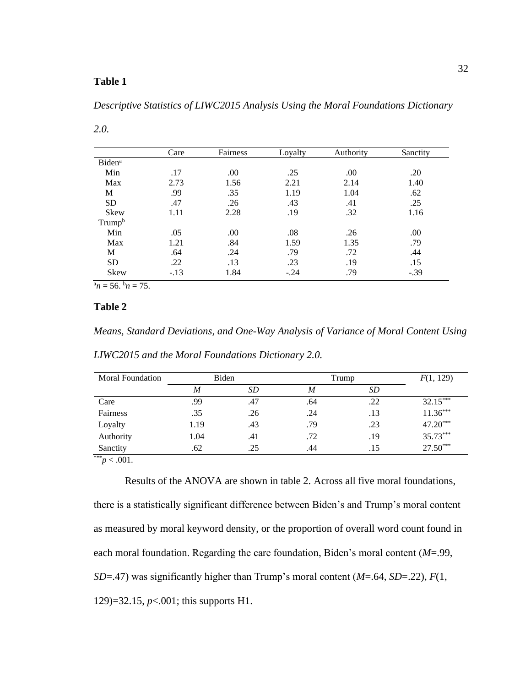# **Table 1**

*Descriptive Statistics of LIWC2015 Analysis Using the Moral Foundations Dictionary* 

|                           | Care   | Fairness | Loyalty | Authority | Sanctity |
|---------------------------|--------|----------|---------|-----------|----------|
| <b>Biden</b> <sup>a</sup> |        |          |         |           |          |
| Min                       | .17    | .00      | .25     | .00       | .20      |
| Max                       | 2.73   | 1.56     | 2.21    | 2.14      | 1.40     |
| M                         | .99    | .35      | 1.19    | 1.04      | .62      |
| <b>SD</b>                 | .47    | .26      | .43     | .41       | .25      |
| Skew                      | 1.11   | 2.28     | .19     | .32       | 1.16     |
| Trump <sup>b</sup>        |        |          |         |           |          |
| Min                       | .05    | .00      | .08     | .26       | .00      |
| Max                       | 1.21   | .84      | 1.59    | 1.35      | .79      |
| М                         | .64    | .24      | .79     | .72       | .44      |
| <b>SD</b>                 | .22    | .13      | .23     | .19       | .15      |
| Skew<br>. .               | $-.13$ | 1.84     | $-.24$  | .79       | $-.39$   |

*2.0.*

 $\overline{a_n} = 56.$   $\overline{b_n} = 75.$ 

# **Table 2**

*Means, Standard Deviations, and One-Way Analysis of Variance of Moral Content Using* 

| <b>Moral Foundation</b> | Biden |     | Trump | F(1, 129) |            |
|-------------------------|-------|-----|-------|-----------|------------|
|                         | M     | SD  | M     | SD        |            |
| Care                    | .99   | .47 | .64   | .22       | $32.15***$ |
| Fairness                | .35   | .26 | .24   | .13       | $11.36***$ |
| Loyalty                 | 1.19  | .43 | .79   | .23       | 47.20***   |
| Authority               | 1.04  | .41 | .72   | .19       | 35.73***   |
| Sanctity                | .62   | .25 | .44   | .15       | $27.50***$ |
| $*** n \ge 001$         |       |     |       |           |            |

*LIWC2015 and the Moral Foundations Dictionary 2.0.*

 $p < .001$ .

Results of the ANOVA are shown in table 2. Across all five moral foundations, there is a statistically significant difference between Biden's and Trump's moral content as measured by moral keyword density, or the proportion of overall word count found in each moral foundation. Regarding the care foundation, Biden's moral content (*M*=.99, *SD*=.47) was significantly higher than Trump's moral content (*M*=.64, *SD*=.22), *F*(1, 129)=32.15, *p*<.001; this supports H1.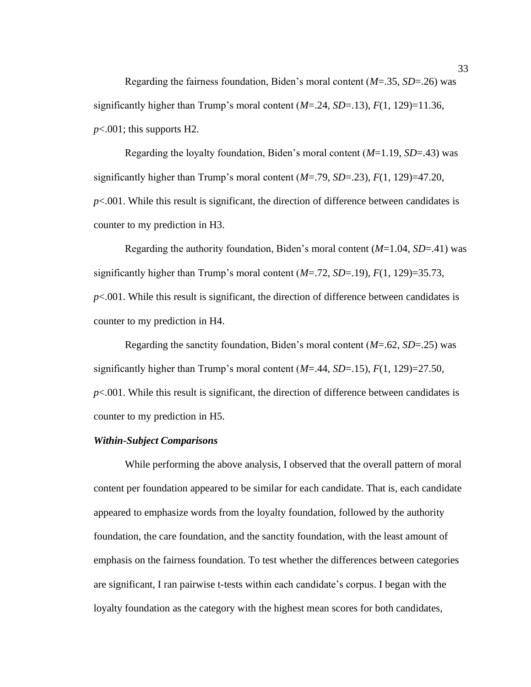Regarding the fairness foundation, Biden's moral content (*M*=.35, *SD*=.26) was significantly higher than Trump's moral content  $(M=24, SD=13)$ ,  $F(1, 129)=11.36$ , *p*<.001; this supports H2.

Regarding the loyalty foundation, Biden's moral content (*M*=1.19, *SD*=.43) was significantly higher than Trump's moral content (*M*=.79, *SD*=.23), *F*(1, 129)=47.20, *p*<.001. While this result is significant, the direction of difference between candidates is counter to my prediction in H3.

Regarding the authority foundation, Biden's moral content (*M*=1.04, *SD*=.41) was significantly higher than Trump's moral content  $(M=.72, SD=.19)$ ,  $F(1, 129)=35.73$ ,  $p<.001$ . While this result is significant, the direction of difference between candidates is counter to my prediction in H4.

Regarding the sanctity foundation, Biden's moral content (*M*=.62, *SD*=.25) was significantly higher than Trump's moral content  $(M=.44, SD=.15)$ ,  $F(1, 129)=27.50$ , *p*<.001. While this result is significant, the direction of difference between candidates is counter to my prediction in H5.

## *Within-Subject Comparisons*

While performing the above analysis, I observed that the overall pattern of moral content per foundation appeared to be similar for each candidate. That is, each candidate appeared to emphasize words from the loyalty foundation, followed by the authority foundation, the care foundation, and the sanctity foundation, with the least amount of emphasis on the fairness foundation. To test whether the differences between categories are significant, I ran pairwise t-tests within each candidate's corpus. I began with the loyalty foundation as the category with the highest mean scores for both candidates,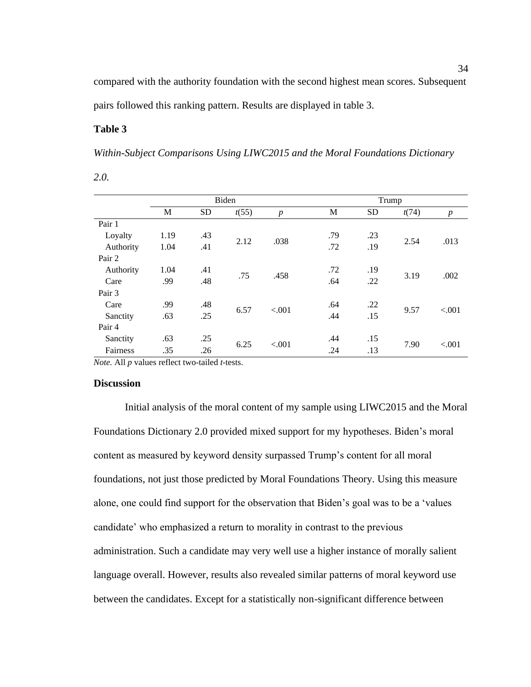compared with the authority foundation with the second highest mean scores. Subsequent pairs followed this ranking pattern. Results are displayed in table 3.

# **Table 3**

*Within-Subject Comparisons Using LIWC2015 and the Moral Foundations Dictionary* 

| ۰.<br>$\sim$<br>٦<br>× |
|------------------------|

|           |      | Biden     |       |                  |     | Trump     |       |                  |
|-----------|------|-----------|-------|------------------|-----|-----------|-------|------------------|
|           | M    | <b>SD</b> | t(55) | $\boldsymbol{p}$ | M   | <b>SD</b> | t(74) | $\boldsymbol{p}$ |
| Pair 1    |      |           |       |                  |     |           |       |                  |
| Loyalty   | 1.19 | .43       |       |                  | .79 | .23       |       |                  |
| Authority | 1.04 | .41       | 2.12  | .038             | .72 | .19       | 2.54  | .013             |
| Pair 2    |      |           |       |                  |     |           |       |                  |
| Authority | 1.04 | .41       |       |                  | .72 | .19       |       |                  |
| Care      | .99  | .48       | .75   | .458             | .64 | .22       | 3.19  | .002             |
| Pair 3    |      |           |       |                  |     |           |       |                  |
| Care      | .99  | .48       |       |                  | .64 | .22       |       |                  |
| Sanctity  | .63  | .25       | 6.57  | < .001           | .44 | .15       | 9.57  | < .001           |
| Pair 4    |      |           |       |                  |     |           |       |                  |
| Sanctity  | .63  | .25       |       |                  | .44 | .15       |       |                  |
| Fairness  | .35  | .26       | 6.25  | < .001           | .24 | .13       | 7.90  | < .001           |

*Note.* All *p* values reflect two-tailed *t*-tests.

#### **Discussion**

Initial analysis of the moral content of my sample using LIWC2015 and the Moral Foundations Dictionary 2.0 provided mixed support for my hypotheses. Biden's moral content as measured by keyword density surpassed Trump's content for all moral foundations, not just those predicted by Moral Foundations Theory. Using this measure alone, one could find support for the observation that Biden's goal was to be a 'values candidate' who emphasized a return to morality in contrast to the previous administration. Such a candidate may very well use a higher instance of morally salient language overall. However, results also revealed similar patterns of moral keyword use between the candidates. Except for a statistically non-significant difference between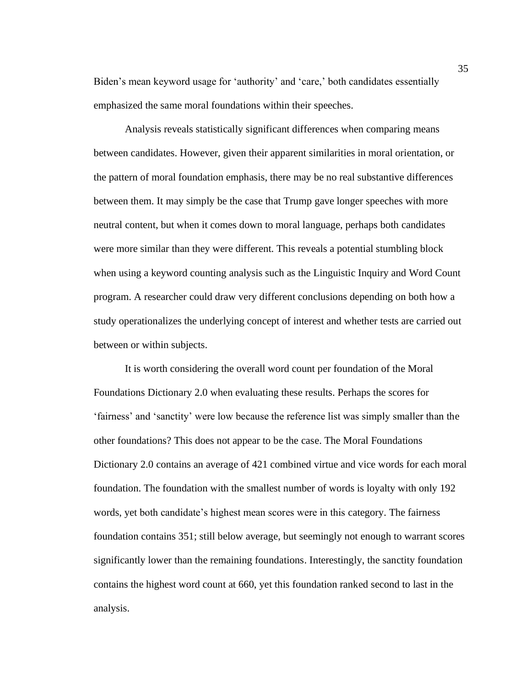Biden's mean keyword usage for 'authority' and 'care,' both candidates essentially emphasized the same moral foundations within their speeches.

Analysis reveals statistically significant differences when comparing means between candidates. However, given their apparent similarities in moral orientation, or the pattern of moral foundation emphasis, there may be no real substantive differences between them. It may simply be the case that Trump gave longer speeches with more neutral content, but when it comes down to moral language, perhaps both candidates were more similar than they were different. This reveals a potential stumbling block when using a keyword counting analysis such as the Linguistic Inquiry and Word Count program. A researcher could draw very different conclusions depending on both how a study operationalizes the underlying concept of interest and whether tests are carried out between or within subjects.

It is worth considering the overall word count per foundation of the Moral Foundations Dictionary 2.0 when evaluating these results. Perhaps the scores for 'fairness' and 'sanctity' were low because the reference list was simply smaller than the other foundations? This does not appear to be the case. The Moral Foundations Dictionary 2.0 contains an average of 421 combined virtue and vice words for each moral foundation. The foundation with the smallest number of words is loyalty with only 192 words, yet both candidate's highest mean scores were in this category. The fairness foundation contains 351; still below average, but seemingly not enough to warrant scores significantly lower than the remaining foundations. Interestingly, the sanctity foundation contains the highest word count at 660, yet this foundation ranked second to last in the analysis.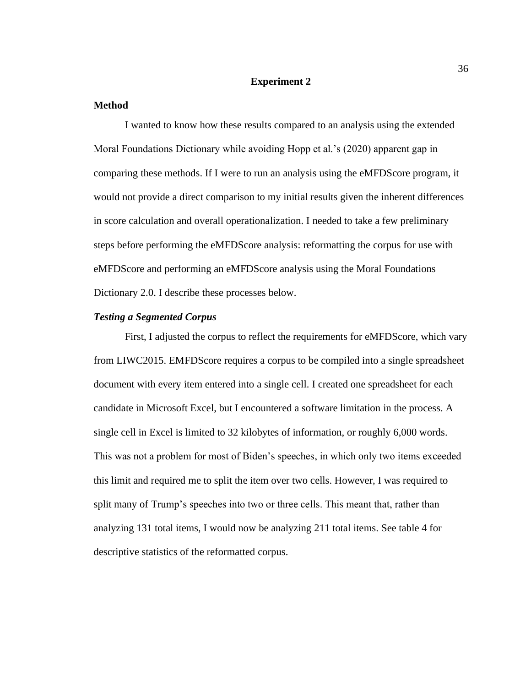### **Experiment 2**

#### **Method**

I wanted to know how these results compared to an analysis using the extended Moral Foundations Dictionary while avoiding Hopp et al.'s (2020) apparent gap in comparing these methods. If I were to run an analysis using the eMFDScore program, it would not provide a direct comparison to my initial results given the inherent differences in score calculation and overall operationalization. I needed to take a few preliminary steps before performing the eMFDScore analysis: reformatting the corpus for use with eMFDScore and performing an eMFDScore analysis using the Moral Foundations Dictionary 2.0. I describe these processes below.

#### *Testing a Segmented Corpus*

First, I adjusted the corpus to reflect the requirements for eMFDScore, which vary from LIWC2015. EMFDScore requires a corpus to be compiled into a single spreadsheet document with every item entered into a single cell. I created one spreadsheet for each candidate in Microsoft Excel, but I encountered a software limitation in the process. A single cell in Excel is limited to 32 kilobytes of information, or roughly 6,000 words. This was not a problem for most of Biden's speeches, in which only two items exceeded this limit and required me to split the item over two cells. However, I was required to split many of Trump's speeches into two or three cells. This meant that, rather than analyzing 131 total items, I would now be analyzing 211 total items. See table 4 for descriptive statistics of the reformatted corpus.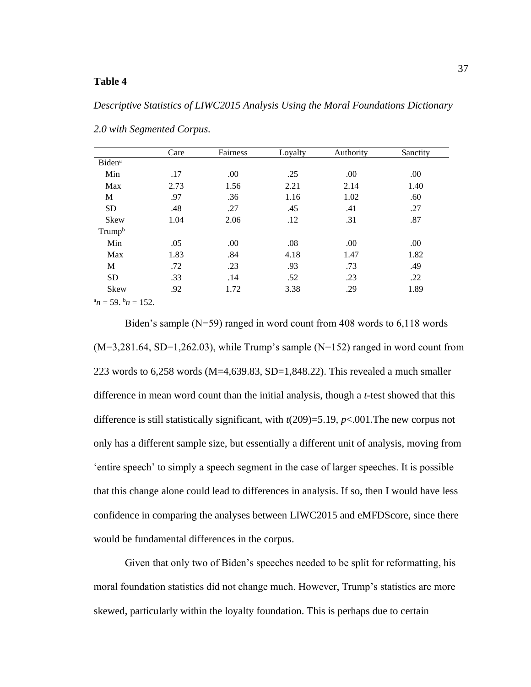# **Table 4**

#### *Descriptive Statistics of LIWC2015 Analysis Using the Moral Foundations Dictionary*

|                                             | Care | Fairness | Loyalty | Authority | Sanctity |
|---------------------------------------------|------|----------|---------|-----------|----------|
| <b>Biden</b> <sup>a</sup>                   |      |          |         |           |          |
| Min                                         | .17  | .00.     | .25     | .00       | .00      |
| Max                                         | 2.73 | 1.56     | 2.21    | 2.14      | 1.40     |
| M                                           | .97  | .36      | 1.16    | 1.02      | .60      |
| <b>SD</b>                                   | .48  | .27      | .45     | .41       | .27      |
| Skew                                        | 1.04 | 2.06     | .12     | .31       | .87      |
| Trump <sup>b</sup>                          |      |          |         |           |          |
| Min                                         | .05  | .00.     | .08     | .00       | .00      |
| Max                                         | 1.83 | .84      | 4.18    | 1.47      | 1.82     |
| М                                           | .72  | .23      | .93     | .73       | .49      |
| <b>SD</b>                                   | .33  | .14      | .52     | .23       | .22      |
| Skew                                        | .92  | 1.72     | 3.38    | .29       | 1.89     |
| $a_{11}$ $\epsilon_0$ $b_{11}$ $\epsilon_1$ |      |          |         |           |          |

*2.0 with Segmented Corpus.*

 $n_n = 59$ .  $n_0 = 152$ .

Biden's sample (N=59) ranged in word count from 408 words to 6,118 words  $(M=3,281.64, SD=1,262.03)$ , while Trump's sample  $(N=152)$  ranged in word count from 223 words to 6,258 words (M=4,639.83, SD=1,848.22). This revealed a much smaller difference in mean word count than the initial analysis, though a *t*-test showed that this difference is still statistically significant, with *t*(209)=5.19, *p*<.001.The new corpus not only has a different sample size, but essentially a different unit of analysis, moving from 'entire speech' to simply a speech segment in the case of larger speeches. It is possible that this change alone could lead to differences in analysis. If so, then I would have less confidence in comparing the analyses between LIWC2015 and eMFDScore, since there would be fundamental differences in the corpus.

Given that only two of Biden's speeches needed to be split for reformatting, his moral foundation statistics did not change much. However, Trump's statistics are more skewed, particularly within the loyalty foundation. This is perhaps due to certain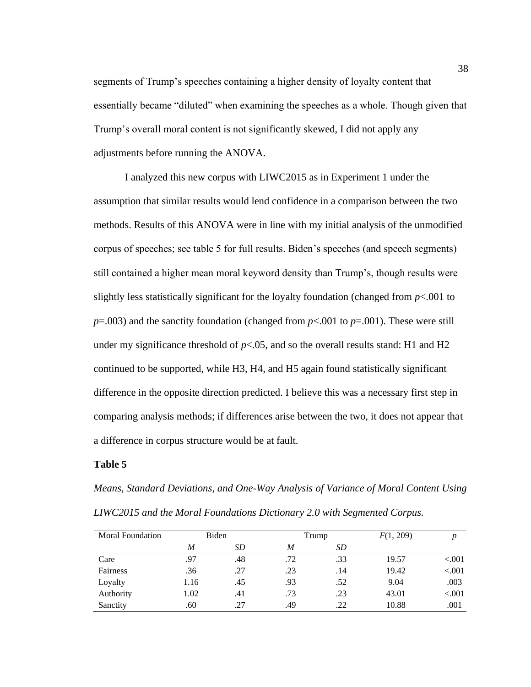segments of Trump's speeches containing a higher density of loyalty content that essentially became "diluted" when examining the speeches as a whole. Though given that Trump's overall moral content is not significantly skewed, I did not apply any adjustments before running the ANOVA.

I analyzed this new corpus with LIWC2015 as in Experiment 1 under the assumption that similar results would lend confidence in a comparison between the two methods. Results of this ANOVA were in line with my initial analysis of the unmodified corpus of speeches; see table 5 for full results. Biden's speeches (and speech segments) still contained a higher mean moral keyword density than Trump's, though results were slightly less statistically significant for the loyalty foundation (changed from  $p<.001$  to  $p=0.003$ ) and the sanctity foundation (changed from  $p<0.001$  to  $p=0.001$ ). These were still under my significance threshold of  $p<0.05$ , and so the overall results stand: H1 and H2 continued to be supported, while H3, H4, and H5 again found statistically significant difference in the opposite direction predicted. I believe this was a necessary first step in comparing analysis methods; if differences arise between the two, it does not appear that a difference in corpus structure would be at fault.

# **Table 5**

*Means, Standard Deviations, and One-Way Analysis of Variance of Moral Content Using LIWC2015 and the Moral Foundations Dictionary 2.0 with Segmented Corpus.*

| Moral Foundation | Biden |     |     | Trump | F(1, 209) | n         |
|------------------|-------|-----|-----|-------|-----------|-----------|
|                  | M     | SD. | M   | SD    |           |           |
| Care             | .97   | .48 | .72 | .33   | 19.57     | ${<}001$  |
| Fairness         | .36   | .27 | .23 | .14   | 19.42     | ${<}.001$ |
| Loyalty          | 1.16  | .45 | .93 | .52   | 9.04      | .003      |
| Authority        | 1.02  | .41 | .73 | .23   | 43.01     | ${<}.001$ |
| Sanctity         | .60   | .27 | .49 | .22   | 10.88     | .001      |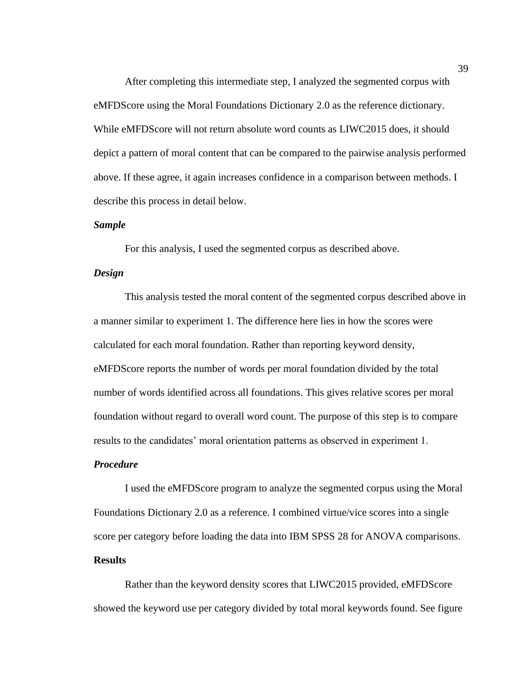After completing this intermediate step, I analyzed the segmented corpus with eMFDScore using the Moral Foundations Dictionary 2.0 as the reference dictionary. While eMFDScore will not return absolute word counts as LIWC2015 does, it should depict a pattern of moral content that can be compared to the pairwise analysis performed above. If these agree, it again increases confidence in a comparison between methods. I describe this process in detail below.

#### *Sample*

For this analysis, I used the segmented corpus as described above.

#### *Design*

This analysis tested the moral content of the segmented corpus described above in a manner similar to experiment 1. The difference here lies in how the scores were calculated for each moral foundation. Rather than reporting keyword density, eMFDScore reports the number of words per moral foundation divided by the total number of words identified across all foundations. This gives relative scores per moral foundation without regard to overall word count. The purpose of this step is to compare results to the candidates' moral orientation patterns as observed in experiment 1.

# *Procedure*

I used the eMFDScore program to analyze the segmented corpus using the Moral Foundations Dictionary 2.0 as a reference. I combined virtue/vice scores into a single score per category before loading the data into IBM SPSS 28 for ANOVA comparisons. **Results**

Rather than the keyword density scores that LIWC2015 provided, eMFDScore showed the keyword use per category divided by total moral keywords found. See figure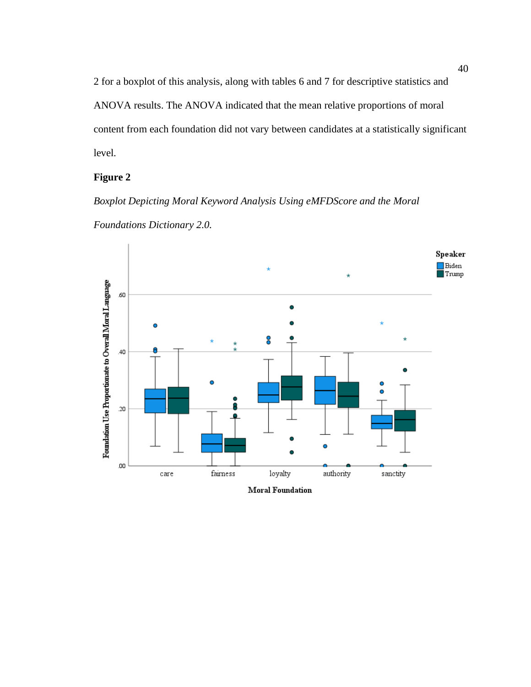2 for a boxplot of this analysis, along with tables 6 and 7 for descriptive statistics and ANOVA results. The ANOVA indicated that the mean relative proportions of moral content from each foundation did not vary between candidates at a statistically significant level.

# **Figure 2**

*Boxplot Depicting Moral Keyword Analysis Using eMFDScore and the Moral Foundations Dictionary 2.0.*

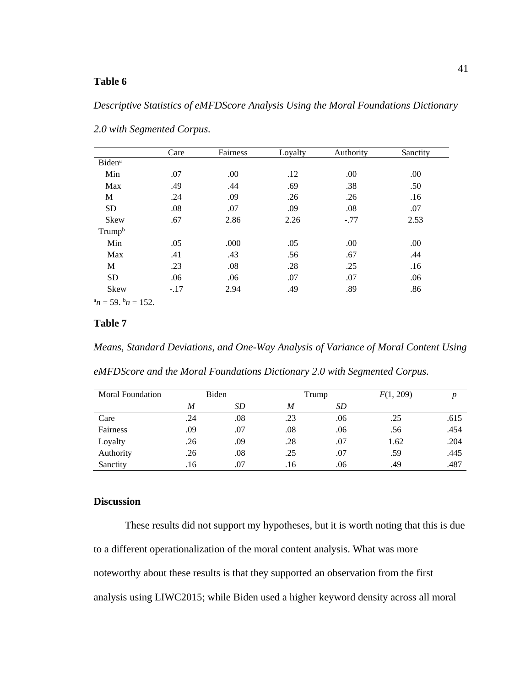# **Table 6**

# *Descriptive Statistics of eMFDScore Analysis Using the Moral Foundations Dictionary*

|                           | Care   | Fairness | Lovalty | Authority | Sanctity |
|---------------------------|--------|----------|---------|-----------|----------|
| <b>Biden</b> <sup>a</sup> |        |          |         |           |          |
| Min                       | .07    | .00      | .12     | .00.      | .00      |
| Max                       | .49    | .44      | .69     | .38       | .50      |
| M                         | .24    | .09      | .26     | .26       | .16      |
| <b>SD</b>                 | .08    | .07      | .09     | .08       | .07      |
| <b>Skew</b>               | .67    | 2.86     | 2.26    | $-.77$    | 2.53     |
| Trump <sup>b</sup>        |        |          |         |           |          |
| Min                       | .05    | .000     | .05     | .00.      | .00.     |
| Max                       | .41    | .43      | .56     | .67       | .44      |
| M                         | .23    | .08      | .28     | .25       | .16      |
| <b>SD</b>                 | .06    | .06      | .07     | .07       | .06      |
| Skew                      | $-.17$ | 2.94     | .49     | .89       | .86      |

*2.0 with Segmented Corpus.*

 $a_n = 59$ ,  $b_n = 152$ .

# **Table 7**

*Means, Standard Deviations, and One-Way Analysis of Variance of Moral Content Using* 

*eMFDScore and the Moral Foundations Dictionary 2.0 with Segmented Corpus.*

| <b>Moral Foundation</b> | Biden |           |     | Trump     |      |      |
|-------------------------|-------|-----------|-----|-----------|------|------|
|                         | M     | <b>SD</b> | M   | <b>SD</b> |      |      |
| Care                    | .24   | .08       | .23 | .06       | .25  | .615 |
| Fairness                | .09   | .07       | .08 | .06       | .56  | .454 |
| Loyalty                 | .26   | .09       | .28 | .07       | 1.62 | .204 |
| Authority               | .26   | .08       | .25 | .07       | .59  | .445 |
| Sanctity                | .16   | .07       | .16 | .06       | .49  | .487 |

# **Discussion**

These results did not support my hypotheses, but it is worth noting that this is due to a different operationalization of the moral content analysis. What was more noteworthy about these results is that they supported an observation from the first analysis using LIWC2015; while Biden used a higher keyword density across all moral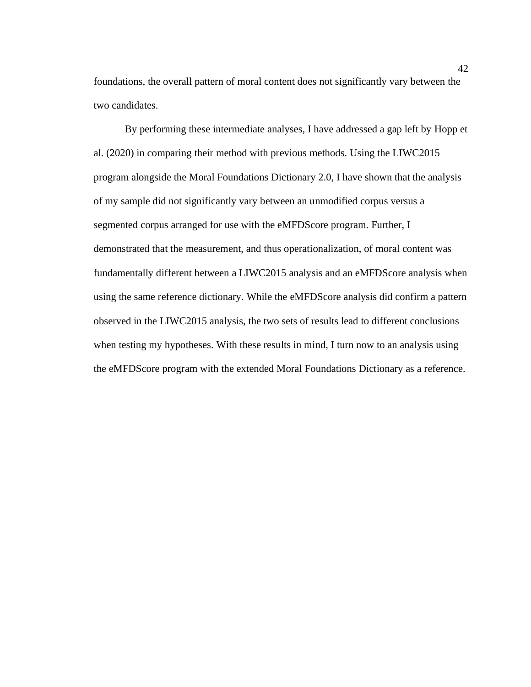foundations, the overall pattern of moral content does not significantly vary between the two candidates.

By performing these intermediate analyses, I have addressed a gap left by Hopp et al. (2020) in comparing their method with previous methods. Using the LIWC2015 program alongside the Moral Foundations Dictionary 2.0, I have shown that the analysis of my sample did not significantly vary between an unmodified corpus versus a segmented corpus arranged for use with the eMFDScore program. Further, I demonstrated that the measurement, and thus operationalization, of moral content was fundamentally different between a LIWC2015 analysis and an eMFDScore analysis when using the same reference dictionary. While the eMFDScore analysis did confirm a pattern observed in the LIWC2015 analysis, the two sets of results lead to different conclusions when testing my hypotheses. With these results in mind, I turn now to an analysis using the eMFDScore program with the extended Moral Foundations Dictionary as a reference.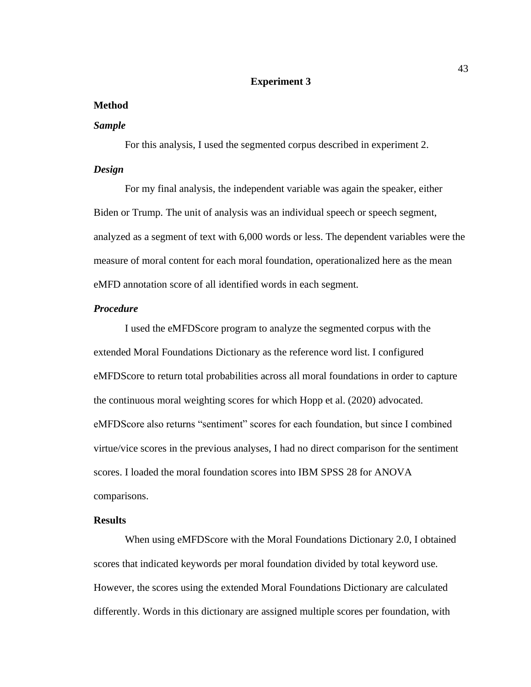#### **Experiment 3**

#### **Method**

#### *Sample*

For this analysis, I used the segmented corpus described in experiment 2.

# *Design*

For my final analysis, the independent variable was again the speaker, either Biden or Trump. The unit of analysis was an individual speech or speech segment, analyzed as a segment of text with 6,000 words or less. The dependent variables were the measure of moral content for each moral foundation, operationalized here as the mean eMFD annotation score of all identified words in each segment.

#### *Procedure*

I used the eMFDScore program to analyze the segmented corpus with the extended Moral Foundations Dictionary as the reference word list. I configured eMFDScore to return total probabilities across all moral foundations in order to capture the continuous moral weighting scores for which Hopp et al. (2020) advocated. eMFDScore also returns "sentiment" scores for each foundation, but since I combined virtue/vice scores in the previous analyses, I had no direct comparison for the sentiment scores. I loaded the moral foundation scores into IBM SPSS 28 for ANOVA comparisons.

# **Results**

When using eMFDScore with the Moral Foundations Dictionary 2.0, I obtained scores that indicated keywords per moral foundation divided by total keyword use. However, the scores using the extended Moral Foundations Dictionary are calculated differently. Words in this dictionary are assigned multiple scores per foundation, with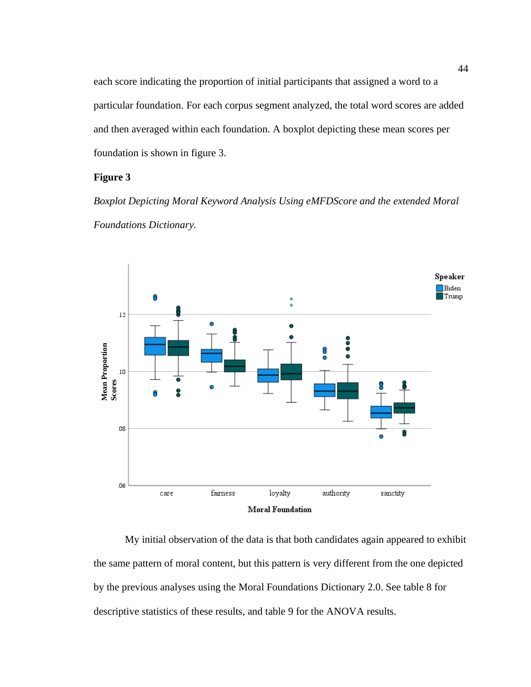each score indicating the proportion of initial participants that assigned a word to a particular foundation. For each corpus segment analyzed, the total word scores are added and then averaged within each foundation. A boxplot depicting these mean scores per foundation is shown in figure 3.

# **Figure 3**

*Boxplot Depicting Moral Keyword Analysis Using eMFDScore and the extended Moral Foundations Dictionary.*



My initial observation of the data is that both candidates again appeared to exhibit the same pattern of moral content, but this pattern is very different from the one depicted by the previous analyses using the Moral Foundations Dictionary 2.0. See table 8 for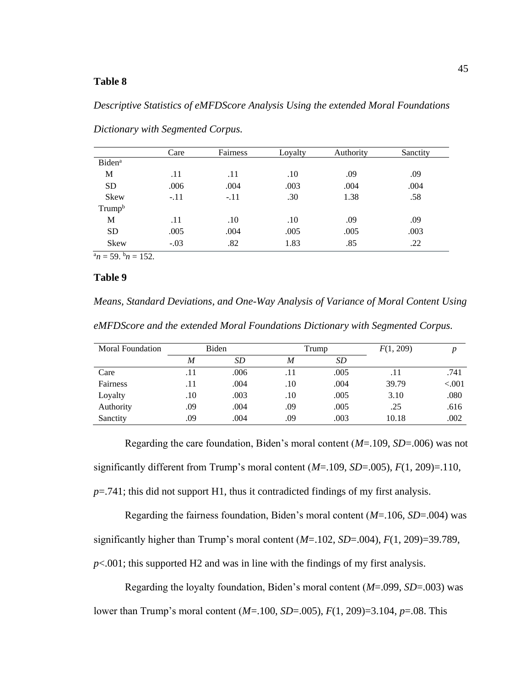# **Table 8**

#### *Descriptive Statistics of eMFDScore Analysis Using the extended Moral Foundations*

| Care   | Fairness | Loyalty | Authority | Sanctity |
|--------|----------|---------|-----------|----------|
|        |          |         |           |          |
| .11    | .11      | .10     | .09       | .09      |
| .006   | .004     | .003    | .004      | .004     |
| $-.11$ | $-.11$   | .30     | 1.38      | .58      |
|        |          |         |           |          |
| .11    | .10      | .10     | .09       | .09      |
| .005   | .004     | .005    | .005      | .003     |
| $-.03$ | .82      | 1.83    | .85       | .22      |
|        |          |         |           |          |

*Dictionary with Segmented Corpus.*

 $a_n = 59$ .  $b_n = 152$ .

#### **Table 9**

*Means, Standard Deviations, and One-Way Analysis of Variance of Moral Content Using eMFDScore and the extended Moral Foundations Dictionary with Segmented Corpus.*

| Moral Foundation | Biden |      | Trump |      | F(1, 209) | n        |
|------------------|-------|------|-------|------|-----------|----------|
|                  | M     | SD   | M     | SD.  |           |          |
| Care             | .11   | .006 | .11   | .005 | .11       | .741     |
| Fairness         | .11   | .004 | .10   | .004 | 39.79     | ${<}001$ |
| Loyalty          | .10   | .003 | .10   | .005 | 3.10      | .080     |
| Authority        | .09   | .004 | .09   | .005 | .25       | .616     |
| Sanctity         | .09   | .004 | .09   | .003 | 10.18     | .002     |

Regarding the care foundation, Biden's moral content (*M*=.109, *SD*=.006) was not significantly different from Trump's moral content (*M*=.109, *SD*=.005), *F*(1, 209)=.110, *p*=.741; this did not support H1, thus it contradicted findings of my first analysis.

Regarding the fairness foundation, Biden's moral content (*M*=.106, *SD*=.004) was significantly higher than Trump's moral content (*M*=.102, *SD*=.004), *F*(1, 209)=39.789, *p*<.001; this supported H2 and was in line with the findings of my first analysis.

Regarding the loyalty foundation, Biden's moral content (*M*=.099, *SD*=.003) was lower than Trump's moral content (*M*=.100, *SD*=.005), *F*(1, 209)=3.104, *p*=.08. This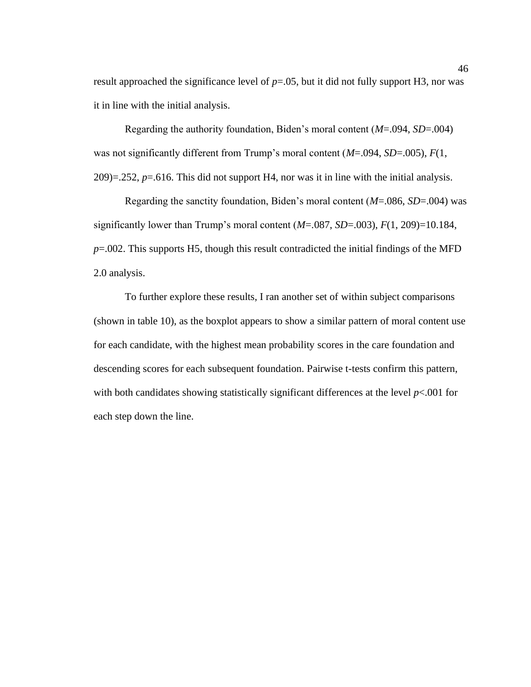result approached the significance level of  $p=0.05$ , but it did not fully support H3, nor was it in line with the initial analysis.

Regarding the authority foundation, Biden's moral content (*M*=.094, *SD*=.004) was not significantly different from Trump's moral content (*M*=.094, *SD*=.005), *F*(1,  $209$ )=.252,  $p=0.616$ . This did not support H4, nor was it in line with the initial analysis.

Regarding the sanctity foundation, Biden's moral content (*M*=.086, *SD*=.004) was significantly lower than Trump's moral content (*M*=.087, *SD*=.003), *F*(1, 209)=10.184, *p*=.002. This supports H5, though this result contradicted the initial findings of the MFD 2.0 analysis.

To further explore these results, I ran another set of within subject comparisons (shown in table 10), as the boxplot appears to show a similar pattern of moral content use for each candidate, with the highest mean probability scores in the care foundation and descending scores for each subsequent foundation. Pairwise t-tests confirm this pattern, with both candidates showing statistically significant differences at the level *p*<.001 for each step down the line.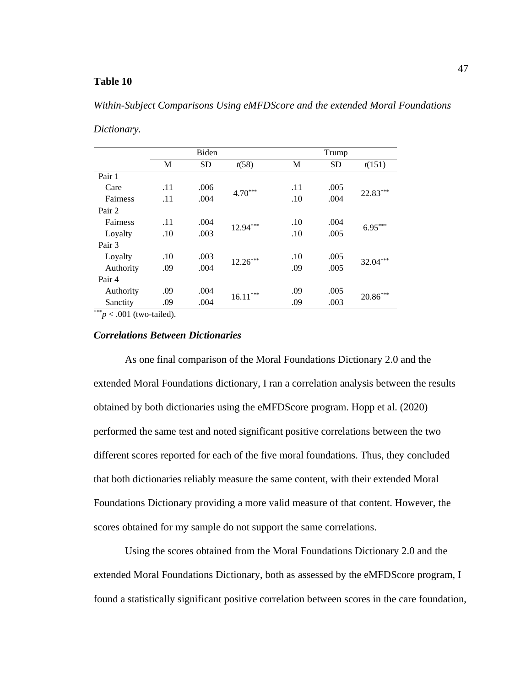# **Table 10**

#### *Within-Subject Comparisons Using eMFDScore and the extended Moral Foundations*

#### *Dictionary.*

|           | <b>Biden</b> |           |            | Trump |           |            |
|-----------|--------------|-----------|------------|-------|-----------|------------|
|           | M            | <b>SD</b> | t(58)      | М     | <b>SD</b> | t(151)     |
| Pair 1    |              |           |            |       |           |            |
| Care      | .11          | .006      | $4.70***$  | .11   | .005      | $22.83***$ |
| Fairness  | .11          | .004      |            | .10   | .004      |            |
| Pair 2    |              |           |            |       |           |            |
| Fairness  | .11          | .004      | $12.94***$ | .10   | .004      | $6.95***$  |
| Loyalty   | .10          | .003      |            | .10   | .005      |            |
| Pair 3    |              |           |            |       |           |            |
| Loyalty   | .10          | .003      | $12.26***$ | .10   | .005      | $32.04***$ |
| Authority | .09          | .004      |            | .09   | .005      |            |
| Pair 4    |              |           |            |       |           |            |
| Authority | .09          | .004      |            | .09   | .005      |            |
| Sanctity  | .09          | .004      | $16.11***$ | .09   | .003      | $20.86***$ |

 $\frac{1}{2}$   $\frac{1}{2}$   $\frac{1}{2}$   $\frac{1}{2}$   $\frac{1}{2}$  (two-tailed).

### *Correlations Between Dictionaries*

As one final comparison of the Moral Foundations Dictionary 2.0 and the extended Moral Foundations dictionary, I ran a correlation analysis between the results obtained by both dictionaries using the eMFDScore program. Hopp et al. (2020) performed the same test and noted significant positive correlations between the two different scores reported for each of the five moral foundations. Thus, they concluded that both dictionaries reliably measure the same content, with their extended Moral Foundations Dictionary providing a more valid measure of that content. However, the scores obtained for my sample do not support the same correlations.

Using the scores obtained from the Moral Foundations Dictionary 2.0 and the extended Moral Foundations Dictionary, both as assessed by the eMFDScore program, I found a statistically significant positive correlation between scores in the care foundation,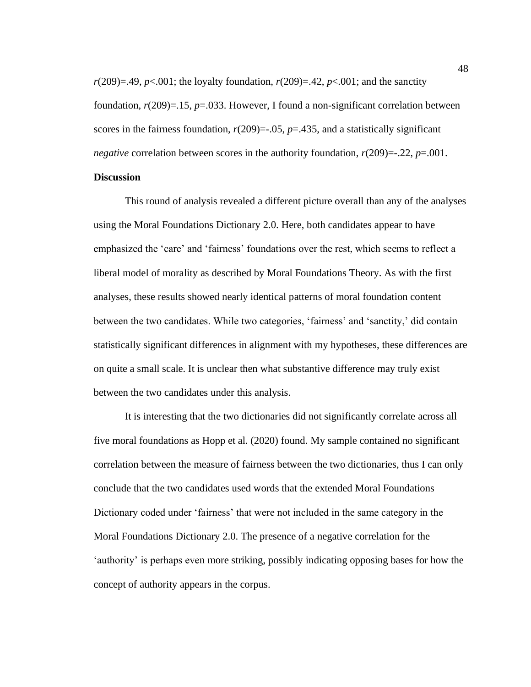$r(209)=.49, p<.001$ ; the loyalty foundation,  $r(209)=.42, p<.001$ ; and the sanctity foundation,  $r(209)=15$ ,  $p=.033$ . However, I found a non-significant correlation between scores in the fairness foundation,  $r(209) = .05$ ,  $p = .435$ , and a statistically significant *negative* correlation between scores in the authority foundation,  $r(209) = -0.22$ ,  $p = 0.001$ .

# **Discussion**

This round of analysis revealed a different picture overall than any of the analyses using the Moral Foundations Dictionary 2.0. Here, both candidates appear to have emphasized the 'care' and 'fairness' foundations over the rest, which seems to reflect a liberal model of morality as described by Moral Foundations Theory. As with the first analyses, these results showed nearly identical patterns of moral foundation content between the two candidates. While two categories, 'fairness' and 'sanctity,' did contain statistically significant differences in alignment with my hypotheses, these differences are on quite a small scale. It is unclear then what substantive difference may truly exist between the two candidates under this analysis.

It is interesting that the two dictionaries did not significantly correlate across all five moral foundations as Hopp et al. (2020) found. My sample contained no significant correlation between the measure of fairness between the two dictionaries, thus I can only conclude that the two candidates used words that the extended Moral Foundations Dictionary coded under 'fairness' that were not included in the same category in the Moral Foundations Dictionary 2.0. The presence of a negative correlation for the 'authority' is perhaps even more striking, possibly indicating opposing bases for how the concept of authority appears in the corpus.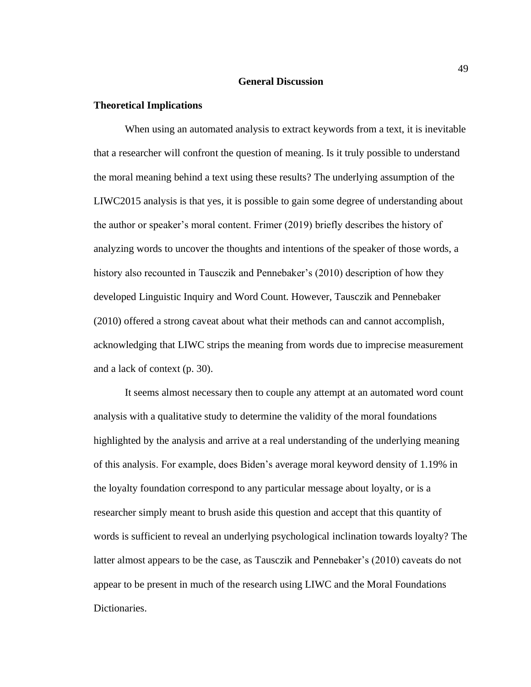#### **General Discussion**

#### **Theoretical Implications**

When using an automated analysis to extract keywords from a text, it is inevitable that a researcher will confront the question of meaning. Is it truly possible to understand the moral meaning behind a text using these results? The underlying assumption of the LIWC2015 analysis is that yes, it is possible to gain some degree of understanding about the author or speaker's moral content. Frimer (2019) briefly describes the history of analyzing words to uncover the thoughts and intentions of the speaker of those words, a history also recounted in Tausczik and Pennebaker's (2010) description of how they developed Linguistic Inquiry and Word Count. However, Tausczik and Pennebaker (2010) offered a strong caveat about what their methods can and cannot accomplish, acknowledging that LIWC strips the meaning from words due to imprecise measurement and a lack of context (p. 30).

It seems almost necessary then to couple any attempt at an automated word count analysis with a qualitative study to determine the validity of the moral foundations highlighted by the analysis and arrive at a real understanding of the underlying meaning of this analysis. For example, does Biden's average moral keyword density of 1.19% in the loyalty foundation correspond to any particular message about loyalty, or is a researcher simply meant to brush aside this question and accept that this quantity of words is sufficient to reveal an underlying psychological inclination towards loyalty? The latter almost appears to be the case, as Tausczik and Pennebaker's (2010) caveats do not appear to be present in much of the research using LIWC and the Moral Foundations Dictionaries.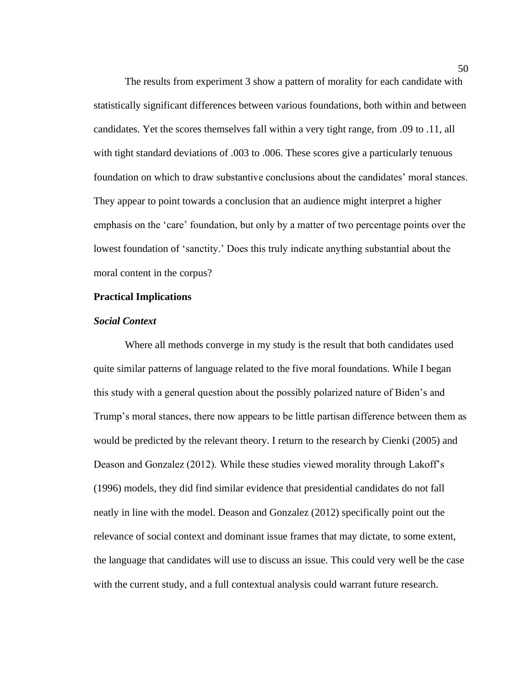The results from experiment 3 show a pattern of morality for each candidate with statistically significant differences between various foundations, both within and between candidates. Yet the scores themselves fall within a very tight range, from .09 to .11, all with tight standard deviations of .003 to .006. These scores give a particularly tenuous foundation on which to draw substantive conclusions about the candidates' moral stances. They appear to point towards a conclusion that an audience might interpret a higher emphasis on the 'care' foundation, but only by a matter of two percentage points over the lowest foundation of 'sanctity.' Does this truly indicate anything substantial about the moral content in the corpus?

#### **Practical Implications**

### *Social Context*

Where all methods converge in my study is the result that both candidates used quite similar patterns of language related to the five moral foundations. While I began this study with a general question about the possibly polarized nature of Biden's and Trump's moral stances, there now appears to be little partisan difference between them as would be predicted by the relevant theory. I return to the research by Cienki (2005) and Deason and Gonzalez (2012). While these studies viewed morality through Lakoff's (1996) models, they did find similar evidence that presidential candidates do not fall neatly in line with the model. Deason and Gonzalez (2012) specifically point out the relevance of social context and dominant issue frames that may dictate, to some extent, the language that candidates will use to discuss an issue. This could very well be the case with the current study, and a full contextual analysis could warrant future research.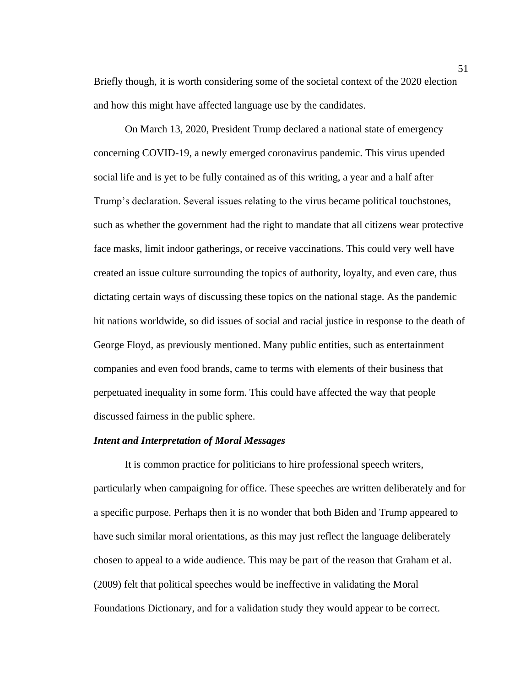Briefly though, it is worth considering some of the societal context of the 2020 election and how this might have affected language use by the candidates.

On March 13, 2020, President Trump declared a national state of emergency concerning COVID-19, a newly emerged coronavirus pandemic. This virus upended social life and is yet to be fully contained as of this writing, a year and a half after Trump's declaration. Several issues relating to the virus became political touchstones, such as whether the government had the right to mandate that all citizens wear protective face masks, limit indoor gatherings, or receive vaccinations. This could very well have created an issue culture surrounding the topics of authority, loyalty, and even care, thus dictating certain ways of discussing these topics on the national stage. As the pandemic hit nations worldwide, so did issues of social and racial justice in response to the death of George Floyd, as previously mentioned. Many public entities, such as entertainment companies and even food brands, came to terms with elements of their business that perpetuated inequality in some form. This could have affected the way that people discussed fairness in the public sphere.

#### *Intent and Interpretation of Moral Messages*

It is common practice for politicians to hire professional speech writers, particularly when campaigning for office. These speeches are written deliberately and for a specific purpose. Perhaps then it is no wonder that both Biden and Trump appeared to have such similar moral orientations, as this may just reflect the language deliberately chosen to appeal to a wide audience. This may be part of the reason that Graham et al. (2009) felt that political speeches would be ineffective in validating the Moral Foundations Dictionary, and for a validation study they would appear to be correct.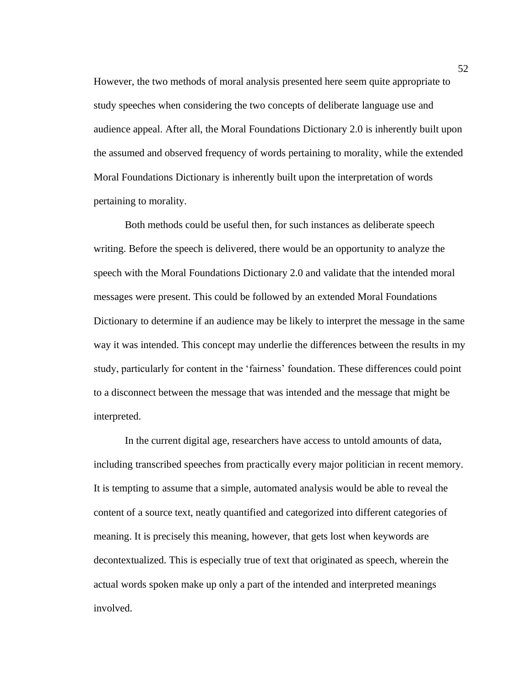However, the two methods of moral analysis presented here seem quite appropriate to study speeches when considering the two concepts of deliberate language use and audience appeal. After all, the Moral Foundations Dictionary 2.0 is inherently built upon the assumed and observed frequency of words pertaining to morality, while the extended Moral Foundations Dictionary is inherently built upon the interpretation of words pertaining to morality.

Both methods could be useful then, for such instances as deliberate speech writing. Before the speech is delivered, there would be an opportunity to analyze the speech with the Moral Foundations Dictionary 2.0 and validate that the intended moral messages were present. This could be followed by an extended Moral Foundations Dictionary to determine if an audience may be likely to interpret the message in the same way it was intended. This concept may underlie the differences between the results in my study, particularly for content in the 'fairness' foundation. These differences could point to a disconnect between the message that was intended and the message that might be interpreted.

In the current digital age, researchers have access to untold amounts of data, including transcribed speeches from practically every major politician in recent memory. It is tempting to assume that a simple, automated analysis would be able to reveal the content of a source text, neatly quantified and categorized into different categories of meaning. It is precisely this meaning, however, that gets lost when keywords are decontextualized. This is especially true of text that originated as speech, wherein the actual words spoken make up only a part of the intended and interpreted meanings involved.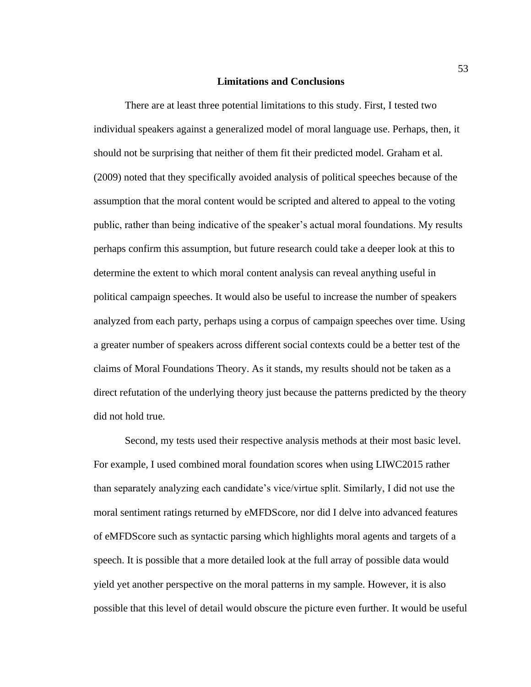#### **Limitations and Conclusions**

There are at least three potential limitations to this study. First, I tested two individual speakers against a generalized model of moral language use. Perhaps, then, it should not be surprising that neither of them fit their predicted model. Graham et al. (2009) noted that they specifically avoided analysis of political speeches because of the assumption that the moral content would be scripted and altered to appeal to the voting public, rather than being indicative of the speaker's actual moral foundations. My results perhaps confirm this assumption, but future research could take a deeper look at this to determine the extent to which moral content analysis can reveal anything useful in political campaign speeches. It would also be useful to increase the number of speakers analyzed from each party, perhaps using a corpus of campaign speeches over time. Using a greater number of speakers across different social contexts could be a better test of the claims of Moral Foundations Theory. As it stands, my results should not be taken as a direct refutation of the underlying theory just because the patterns predicted by the theory did not hold true.

Second, my tests used their respective analysis methods at their most basic level. For example, I used combined moral foundation scores when using LIWC2015 rather than separately analyzing each candidate's vice/virtue split. Similarly, I did not use the moral sentiment ratings returned by eMFDScore, nor did I delve into advanced features of eMFDScore such as syntactic parsing which highlights moral agents and targets of a speech. It is possible that a more detailed look at the full array of possible data would yield yet another perspective on the moral patterns in my sample. However, it is also possible that this level of detail would obscure the picture even further. It would be useful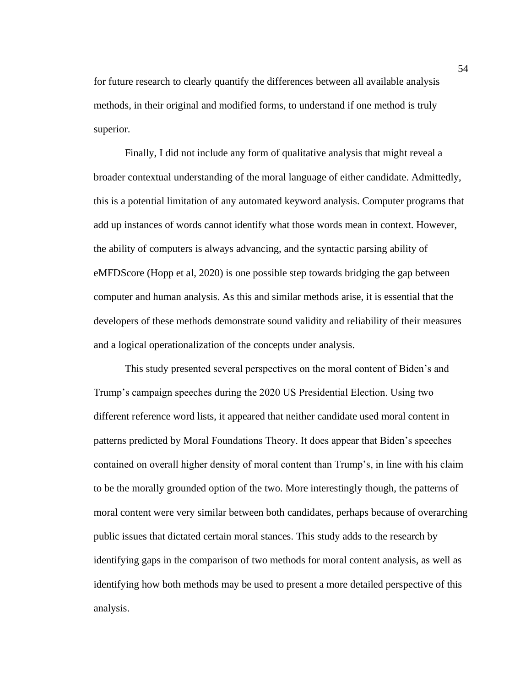for future research to clearly quantify the differences between all available analysis methods, in their original and modified forms, to understand if one method is truly superior.

Finally, I did not include any form of qualitative analysis that might reveal a broader contextual understanding of the moral language of either candidate. Admittedly, this is a potential limitation of any automated keyword analysis. Computer programs that add up instances of words cannot identify what those words mean in context. However, the ability of computers is always advancing, and the syntactic parsing ability of eMFDScore (Hopp et al, 2020) is one possible step towards bridging the gap between computer and human analysis. As this and similar methods arise, it is essential that the developers of these methods demonstrate sound validity and reliability of their measures and a logical operationalization of the concepts under analysis.

This study presented several perspectives on the moral content of Biden's and Trump's campaign speeches during the 2020 US Presidential Election. Using two different reference word lists, it appeared that neither candidate used moral content in patterns predicted by Moral Foundations Theory. It does appear that Biden's speeches contained on overall higher density of moral content than Trump's, in line with his claim to be the morally grounded option of the two. More interestingly though, the patterns of moral content were very similar between both candidates, perhaps because of overarching public issues that dictated certain moral stances. This study adds to the research by identifying gaps in the comparison of two methods for moral content analysis, as well as identifying how both methods may be used to present a more detailed perspective of this analysis.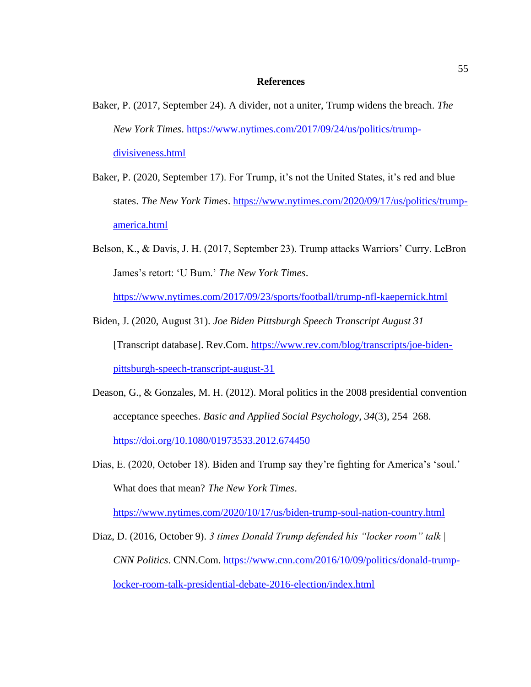#### **References**

- Baker, P. (2017, September 24). A divider, not a uniter, Trump widens the breach. *The New York Times*. [https://www.nytimes.com/2017/09/24/us/politics/trump](https://www.nytimes.com/2017/09/24/us/politics/trump-divisiveness.html)[divisiveness.html](https://www.nytimes.com/2017/09/24/us/politics/trump-divisiveness.html)
- Baker, P. (2020, September 17). For Trump, it's not the United States, it's red and blue states. *The New York Times*. [https://www.nytimes.com/2020/09/17/us/politics/trump](https://www.nytimes.com/2020/09/17/us/politics/trump-america.html)[america.html](https://www.nytimes.com/2020/09/17/us/politics/trump-america.html)
- Belson, K., & Davis, J. H. (2017, September 23). Trump attacks Warriors' Curry. LeBron James's retort: 'U Bum.' *The New York Times*.

<https://www.nytimes.com/2017/09/23/sports/football/trump-nfl-kaepernick.html>

- Biden, J. (2020, August 31). *Joe Biden Pittsburgh Speech Transcript August 31* [Transcript database]. Rev.Com. [https://www.rev.com/blog/transcripts/joe-biden](https://www.rev.com/blog/transcripts/joe-biden-pittsburgh-speech-transcript-august-31)[pittsburgh-speech-transcript-august-31](https://www.rev.com/blog/transcripts/joe-biden-pittsburgh-speech-transcript-august-31)
- Deason, G., & Gonzales, M. H. (2012). Moral politics in the 2008 presidential convention acceptance speeches. *Basic and Applied Social Psychology*, *34*(3), 254–268. <https://doi.org/10.1080/01973533.2012.674450>
- Dias, E. (2020, October 18). Biden and Trump say they're fighting for America's 'soul.' What does that mean? *The New York Times*.

<https://www.nytimes.com/2020/10/17/us/biden-trump-soul-nation-country.html>

Diaz, D. (2016, October 9). *3 times Donald Trump defended his "locker room" talk | CNN Politics*. CNN.Com. [https://www.cnn.com/2016/10/09/politics/donald-trump](https://www.cnn.com/2016/10/09/politics/donald-trump-locker-room-talk-presidential-debate-2016-election/index.html)[locker-room-talk-presidential-debate-2016-election/index.html](https://www.cnn.com/2016/10/09/politics/donald-trump-locker-room-talk-presidential-debate-2016-election/index.html)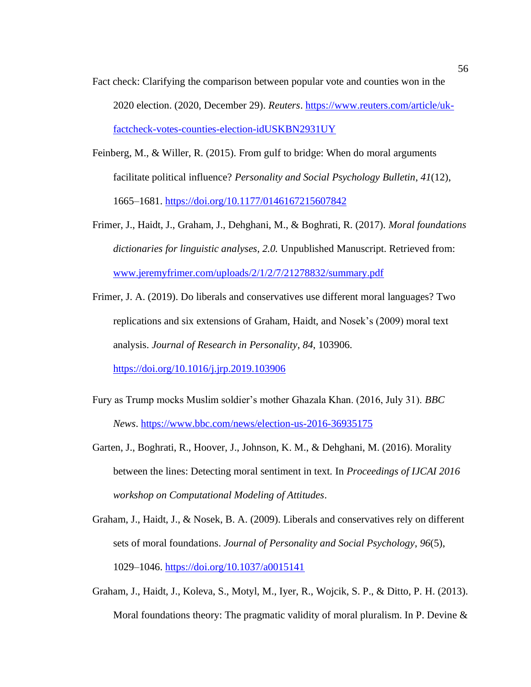- Fact check: Clarifying the comparison between popular vote and counties won in the 2020 election. (2020, December 29). *Reuters*. [https://www.reuters.com/article/uk](https://www.reuters.com/article/uk-factcheck-votes-counties-election-idUSKBN2931UY)[factcheck-votes-counties-election-idUSKBN2931UY](https://www.reuters.com/article/uk-factcheck-votes-counties-election-idUSKBN2931UY)
- Feinberg, M., & Willer, R. (2015). From gulf to bridge: When do moral arguments facilitate political influence? *Personality and Social Psychology Bulletin*, *41*(12), 1665–1681.<https://doi.org/10.1177/0146167215607842>
- Frimer, J., Haidt, J., Graham, J., Dehghani, M., & Boghrati, R. (2017). *Moral foundations dictionaries for linguistic analyses, 2.0.* Unpublished Manuscript. Retrieved from: [www.jeremyfrimer.com/uploads/2/1/2/7/21278832/summary.pdf](http://www.jeremyfrimer.com/uploads/2/1/2/7/21278832/summary.pdf)
- Frimer, J. A. (2019). Do liberals and conservatives use different moral languages? Two replications and six extensions of Graham, Haidt, and Nosek's (2009) moral text analysis. *Journal of Research in Personality*, *84*, 103906. <https://doi.org/10.1016/j.jrp.2019.103906>
- Fury as Trump mocks Muslim soldier's mother Ghazala Khan. (2016, July 31). *BBC News*.<https://www.bbc.com/news/election-us-2016-36935175>
- Garten, J., Boghrati, R., Hoover, J., Johnson, K. M., & Dehghani, M. (2016). Morality between the lines: Detecting moral sentiment in text. In *Proceedings of IJCAI 2016 workshop on Computational Modeling of Attitudes*.
- Graham, J., Haidt, J., & Nosek, B. A. (2009). Liberals and conservatives rely on different sets of moral foundations. *Journal of Personality and Social Psychology*, *96*(5), 1029–1046.<https://doi.org/10.1037/a0015141>
- Graham, J., Haidt, J., Koleva, S., Motyl, M., Iyer, R., Wojcik, S. P., & Ditto, P. H. (2013). Moral foundations theory: The pragmatic validity of moral pluralism. In P. Devine &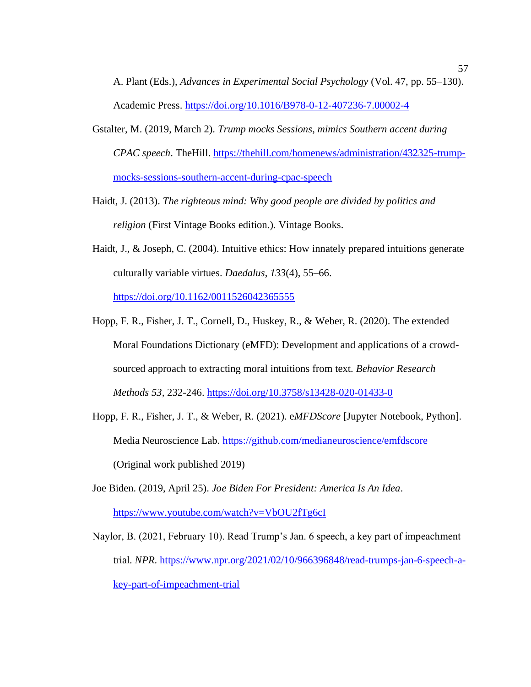A. Plant (Eds.), *Advances in Experimental Social Psychology* (Vol. 47, pp. 55–130). Academic Press.<https://doi.org/10.1016/B978-0-12-407236-7.00002-4>

- Gstalter, M. (2019, March 2). *Trump mocks Sessions, mimics Southern accent during CPAC speech*. TheHill. [https://thehill.com/homenews/administration/432325-trump](https://thehill.com/homenews/administration/432325-trump-mocks-sessions-southern-accent-during-cpac-speech)[mocks-sessions-southern-accent-during-cpac-speech](https://thehill.com/homenews/administration/432325-trump-mocks-sessions-southern-accent-during-cpac-speech)
- Haidt, J. (2013). *The righteous mind: Why good people are divided by politics and religion* (First Vintage Books edition.). Vintage Books.
- Haidt, J., & Joseph, C. (2004). Intuitive ethics: How innately prepared intuitions generate culturally variable virtues. *Daedalus*, *133*(4), 55–66. <https://doi.org/10.1162/0011526042365555>
- Hopp, F. R., Fisher, J. T., Cornell, D., Huskey, R., & Weber, R. (2020). The extended Moral Foundations Dictionary (eMFD): Development and applications of a crowdsourced approach to extracting moral intuitions from text. *Behavior Research Methods 53,* 232-246.<https://doi.org/10.3758/s13428-020-01433-0>
- Hopp, F. R., Fisher, J. T., & Weber, R. (2021). e*MFDScore* [Jupyter Notebook, Python]. Media Neuroscience Lab.<https://github.com/medianeuroscience/emfdscore> (Original work published 2019)
- Joe Biden. (2019, April 25). *Joe Biden For President: America Is An Idea*. <https://www.youtube.com/watch?v=VbOU2fTg6cI>
- Naylor, B. (2021, February 10). Read Trump's Jan. 6 speech, a key part of impeachment trial. *NPR*. [https://www.npr.org/2021/02/10/966396848/read-trumps-jan-6-speech-a](https://www.npr.org/2021/02/10/966396848/read-trumps-jan-6-speech-a-key-part-of-impeachment-trial)[key-part-of-impeachment-trial](https://www.npr.org/2021/02/10/966396848/read-trumps-jan-6-speech-a-key-part-of-impeachment-trial)